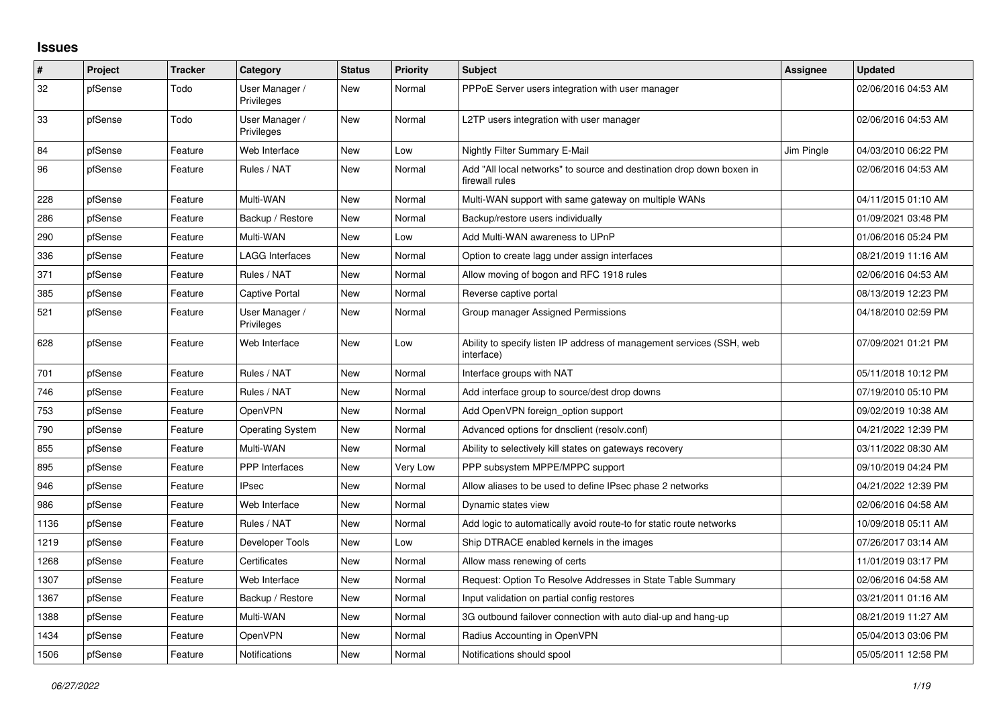## **Issues**

| #    | Project | Tracker | Category                     | <b>Status</b> | <b>Priority</b> | <b>Subject</b>                                                                          | <b>Assignee</b> | <b>Updated</b>      |
|------|---------|---------|------------------------------|---------------|-----------------|-----------------------------------------------------------------------------------------|-----------------|---------------------|
| 32   | pfSense | Todo    | User Manager /<br>Privileges | New           | Normal          | PPPoE Server users integration with user manager                                        |                 | 02/06/2016 04:53 AM |
| 33   | pfSense | Todo    | User Manager /<br>Privileges | <b>New</b>    | Normal          | L2TP users integration with user manager                                                |                 | 02/06/2016 04:53 AM |
| 84   | pfSense | Feature | Web Interface                | New           | Low             | Nightly Filter Summary E-Mail                                                           | Jim Pingle      | 04/03/2010 06:22 PM |
| 96   | pfSense | Feature | Rules / NAT                  | New           | Normal          | Add "All local networks" to source and destination drop down boxen in<br>firewall rules |                 | 02/06/2016 04:53 AM |
| 228  | pfSense | Feature | Multi-WAN                    | New           | Normal          | Multi-WAN support with same gateway on multiple WANs                                    |                 | 04/11/2015 01:10 AM |
| 286  | pfSense | Feature | Backup / Restore             | New           | Normal          | Backup/restore users individually                                                       |                 | 01/09/2021 03:48 PM |
| 290  | pfSense | Feature | Multi-WAN                    | <b>New</b>    | Low             | Add Multi-WAN awareness to UPnP                                                         |                 | 01/06/2016 05:24 PM |
| 336  | pfSense | Feature | LAGG Interfaces              | New           | Normal          | Option to create lagg under assign interfaces                                           |                 | 08/21/2019 11:16 AM |
| 371  | pfSense | Feature | Rules / NAT                  | <b>New</b>    | Normal          | Allow moving of bogon and RFC 1918 rules                                                |                 | 02/06/2016 04:53 AM |
| 385  | pfSense | Feature | Captive Portal               | New           | Normal          | Reverse captive portal                                                                  |                 | 08/13/2019 12:23 PM |
| 521  | pfSense | Feature | User Manager /<br>Privileges | New           | Normal          | Group manager Assigned Permissions                                                      |                 | 04/18/2010 02:59 PM |
| 628  | pfSense | Feature | Web Interface                | <b>New</b>    | Low             | Ability to specify listen IP address of management services (SSH, web<br>interface)     |                 | 07/09/2021 01:21 PM |
| 701  | pfSense | Feature | Rules / NAT                  | New           | Normal          | Interface groups with NAT                                                               |                 | 05/11/2018 10:12 PM |
| 746  | pfSense | Feature | Rules / NAT                  | New           | Normal          | Add interface group to source/dest drop downs                                           |                 | 07/19/2010 05:10 PM |
| 753  | pfSense | Feature | OpenVPN                      | New           | Normal          | Add OpenVPN foreign option support                                                      |                 | 09/02/2019 10:38 AM |
| 790  | pfSense | Feature | <b>Operating System</b>      | New           | Normal          | Advanced options for dnsclient (resolv.conf)                                            |                 | 04/21/2022 12:39 PM |
| 855  | pfSense | Feature | Multi-WAN                    | New           | Normal          | Ability to selectively kill states on gateways recovery                                 |                 | 03/11/2022 08:30 AM |
| 895  | pfSense | Feature | <b>PPP</b> Interfaces        | New           | Very Low        | PPP subsystem MPPE/MPPC support                                                         |                 | 09/10/2019 04:24 PM |
| 946  | pfSense | Feature | <b>IPsec</b>                 | New           | Normal          | Allow aliases to be used to define IPsec phase 2 networks                               |                 | 04/21/2022 12:39 PM |
| 986  | pfSense | Feature | Web Interface                | New           | Normal          | Dynamic states view                                                                     |                 | 02/06/2016 04:58 AM |
| 1136 | pfSense | Feature | Rules / NAT                  | New           | Normal          | Add logic to automatically avoid route-to for static route networks                     |                 | 10/09/2018 05:11 AM |
| 1219 | pfSense | Feature | Developer Tools              | New           | Low             | Ship DTRACE enabled kernels in the images                                               |                 | 07/26/2017 03:14 AM |
| 1268 | pfSense | Feature | Certificates                 | New           | Normal          | Allow mass renewing of certs                                                            |                 | 11/01/2019 03:17 PM |
| 1307 | pfSense | Feature | Web Interface                | <b>New</b>    | Normal          | Request: Option To Resolve Addresses in State Table Summary                             |                 | 02/06/2016 04:58 AM |
| 1367 | pfSense | Feature | Backup / Restore             | New           | Normal          | Input validation on partial config restores                                             |                 | 03/21/2011 01:16 AM |
| 1388 | pfSense | Feature | Multi-WAN                    | New           | Normal          | 3G outbound failover connection with auto dial-up and hang-up                           |                 | 08/21/2019 11:27 AM |
| 1434 | pfSense | Feature | OpenVPN                      | New           | Normal          | Radius Accounting in OpenVPN                                                            |                 | 05/04/2013 03:06 PM |
| 1506 | pfSense | Feature | Notifications                | <b>New</b>    | Normal          | Notifications should spool                                                              |                 | 05/05/2011 12:58 PM |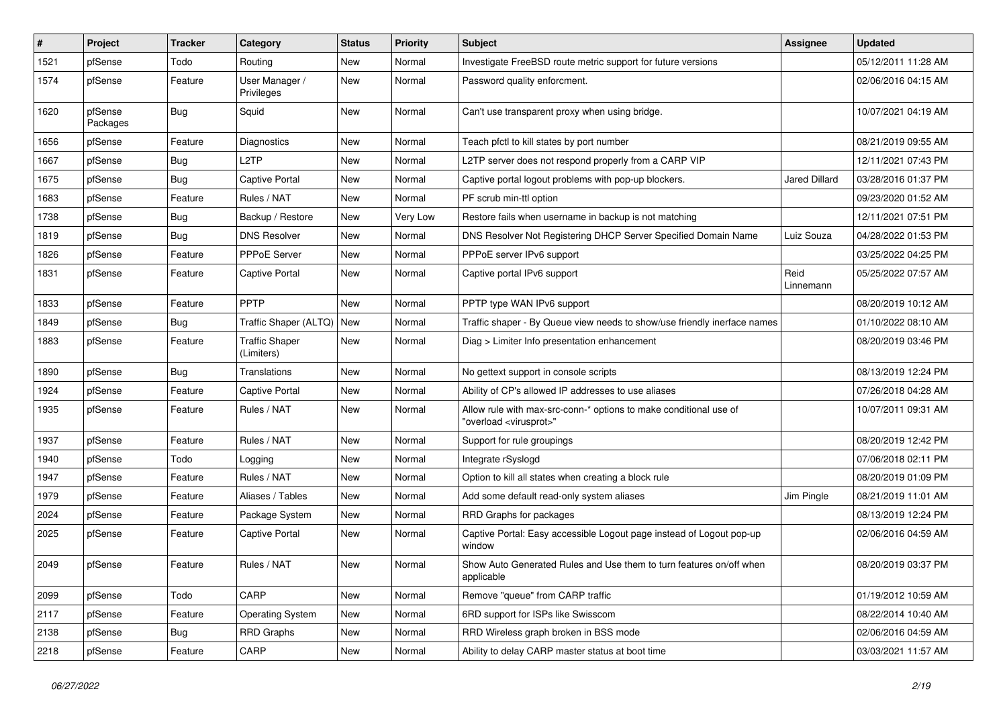| $\vert$ # | Project             | <b>Tracker</b> | Category                            | <b>Status</b> | <b>Priority</b> | Subject                                                                                                 | <b>Assignee</b>      | <b>Updated</b>      |
|-----------|---------------------|----------------|-------------------------------------|---------------|-----------------|---------------------------------------------------------------------------------------------------------|----------------------|---------------------|
| 1521      | pfSense             | Todo           | Routing                             | New           | Normal          | Investigate FreeBSD route metric support for future versions                                            |                      | 05/12/2011 11:28 AM |
| 1574      | pfSense             | Feature        | User Manager /<br>Privileges        | New           | Normal          | Password quality enforcment.                                                                            |                      | 02/06/2016 04:15 AM |
| 1620      | pfSense<br>Packages | Bug            | Squid                               | New           | Normal          | Can't use transparent proxy when using bridge.                                                          |                      | 10/07/2021 04:19 AM |
| 1656      | pfSense             | Feature        | <b>Diagnostics</b>                  | New           | Normal          | Teach pfctl to kill states by port number                                                               |                      | 08/21/2019 09:55 AM |
| 1667      | pfSense             | <b>Bug</b>     | L <sub>2</sub> TP                   | New           | Normal          | L2TP server does not respond properly from a CARP VIP                                                   |                      | 12/11/2021 07:43 PM |
| 1675      | pfSense             | Bug            | Captive Portal                      | New           | Normal          | Captive portal logout problems with pop-up blockers.                                                    | <b>Jared Dillard</b> | 03/28/2016 01:37 PM |
| 1683      | pfSense             | Feature        | Rules / NAT                         | New           | Normal          | PF scrub min-ttl option                                                                                 |                      | 09/23/2020 01:52 AM |
| 1738      | pfSense             | Bug            | Backup / Restore                    | New           | Very Low        | Restore fails when username in backup is not matching                                                   |                      | 12/11/2021 07:51 PM |
| 1819      | pfSense             | Bug            | <b>DNS Resolver</b>                 | New           | Normal          | DNS Resolver Not Registering DHCP Server Specified Domain Name                                          | Luiz Souza           | 04/28/2022 01:53 PM |
| 1826      | pfSense             | Feature        | PPPoE Server                        | New           | Normal          | PPPoE server IPv6 support                                                                               |                      | 03/25/2022 04:25 PM |
| 1831      | pfSense             | Feature        | Captive Portal                      | New           | Normal          | Captive portal IPv6 support                                                                             | Reid<br>Linnemann    | 05/25/2022 07:57 AM |
| 1833      | pfSense             | Feature        | PPTP                                | New           | Normal          | PPTP type WAN IPv6 support                                                                              |                      | 08/20/2019 10:12 AM |
| 1849      | pfSense             | Bug            | Traffic Shaper (ALTQ)               | New           | Normal          | Traffic shaper - By Queue view needs to show/use friendly inerface names                                |                      | 01/10/2022 08:10 AM |
| 1883      | pfSense             | Feature        | <b>Traffic Shaper</b><br>(Limiters) | New           | Normal          | Diag > Limiter Info presentation enhancement                                                            |                      | 08/20/2019 03:46 PM |
| 1890      | pfSense             | Bug            | Translations                        | New           | Normal          | No gettext support in console scripts                                                                   |                      | 08/13/2019 12:24 PM |
| 1924      | pfSense             | Feature        | Captive Portal                      | New           | Normal          | Ability of CP's allowed IP addresses to use aliases                                                     |                      | 07/26/2018 04:28 AM |
| 1935      | pfSense             | Feature        | Rules / NAT                         | New           | Normal          | Allow rule with max-src-conn-* options to make conditional use of<br>"overload <virusprot>"</virusprot> |                      | 10/07/2011 09:31 AM |
| 1937      | pfSense             | Feature        | Rules / NAT                         | New           | Normal          | Support for rule groupings                                                                              |                      | 08/20/2019 12:42 PM |
| 1940      | pfSense             | Todo           | Logging                             | New           | Normal          | Integrate rSyslogd                                                                                      |                      | 07/06/2018 02:11 PM |
| 1947      | pfSense             | Feature        | Rules / NAT                         | New           | Normal          | Option to kill all states when creating a block rule                                                    |                      | 08/20/2019 01:09 PM |
| 1979      | pfSense             | Feature        | Aliases / Tables                    | New           | Normal          | Add some default read-only system aliases                                                               | Jim Pingle           | 08/21/2019 11:01 AM |
| 2024      | pfSense             | Feature        | Package System                      | New           | Normal          | RRD Graphs for packages                                                                                 |                      | 08/13/2019 12:24 PM |
| 2025      | pfSense             | Feature        | Captive Portal                      | New           | Normal          | Captive Portal: Easy accessible Logout page instead of Logout pop-up<br>window                          |                      | 02/06/2016 04:59 AM |
| 2049      | pfSense             | Feature        | Rules / NAT                         | New           | Normal          | Show Auto Generated Rules and Use them to turn features on/off when<br>applicable                       |                      | 08/20/2019 03:37 PM |
| 2099      | pfSense             | Todo           | CARP                                | <b>New</b>    | Normal          | Remove "queue" from CARP traffic                                                                        |                      | 01/19/2012 10:59 AM |
| 2117      | pfSense             | Feature        | <b>Operating System</b>             | New           | Normal          | 6RD support for ISPs like Swisscom                                                                      |                      | 08/22/2014 10:40 AM |
| 2138      | pfSense             | <b>Bug</b>     | <b>RRD Graphs</b>                   | New           | Normal          | RRD Wireless graph broken in BSS mode                                                                   |                      | 02/06/2016 04:59 AM |
| 2218      | pfSense             | Feature        | CARP                                | New           | Normal          | Ability to delay CARP master status at boot time                                                        |                      | 03/03/2021 11:57 AM |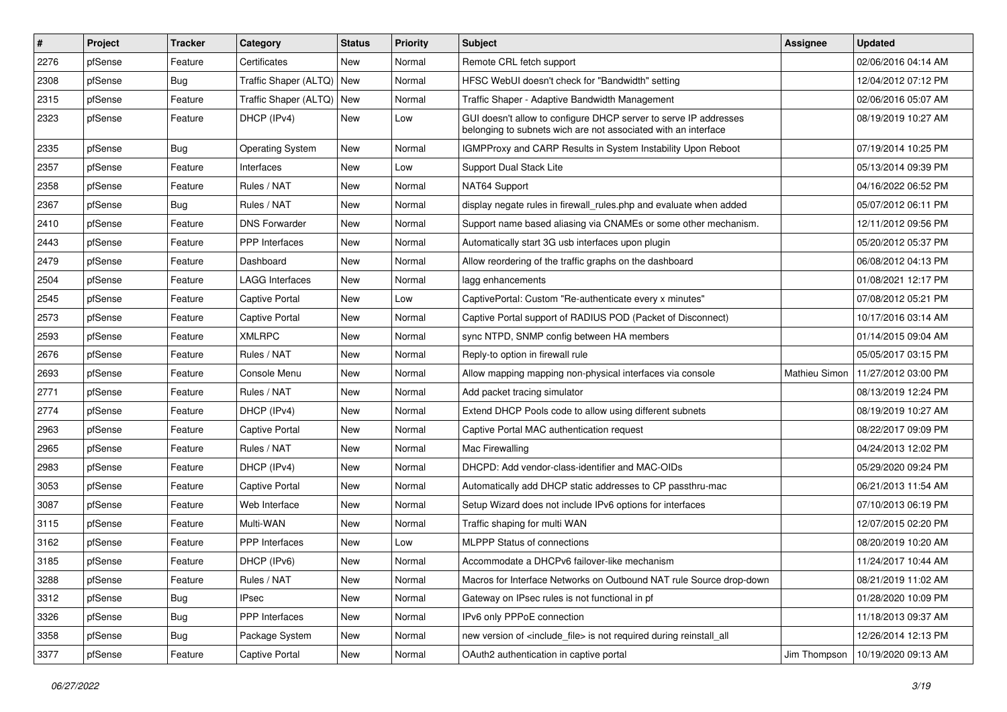| $\sharp$ | Project | <b>Tracker</b> | Category                  | <b>Status</b> | <b>Priority</b> | <b>Subject</b>                                                                                                                     | <b>Assignee</b> | <b>Updated</b>      |
|----------|---------|----------------|---------------------------|---------------|-----------------|------------------------------------------------------------------------------------------------------------------------------------|-----------------|---------------------|
| 2276     | pfSense | Feature        | Certificates              | New           | Normal          | Remote CRL fetch support                                                                                                           |                 | 02/06/2016 04:14 AM |
| 2308     | pfSense | Bug            | Traffic Shaper (ALTQ) New |               | Normal          | HFSC WebUI doesn't check for "Bandwidth" setting                                                                                   |                 | 12/04/2012 07:12 PM |
| 2315     | pfSense | Feature        | Traffic Shaper (ALTQ) New |               | Normal          | Traffic Shaper - Adaptive Bandwidth Management                                                                                     |                 | 02/06/2016 05:07 AM |
| 2323     | pfSense | Feature        | DHCP (IPv4)               | New           | Low             | GUI doesn't allow to configure DHCP server to serve IP addresses<br>belonging to subnets wich are not associated with an interface |                 | 08/19/2019 10:27 AM |
| 2335     | pfSense | Bug            | <b>Operating System</b>   | New           | Normal          | IGMPProxy and CARP Results in System Instability Upon Reboot                                                                       |                 | 07/19/2014 10:25 PM |
| 2357     | pfSense | Feature        | Interfaces                | New           | Low             | <b>Support Dual Stack Lite</b>                                                                                                     |                 | 05/13/2014 09:39 PM |
| 2358     | pfSense | Feature        | Rules / NAT               | New           | Normal          | NAT64 Support                                                                                                                      |                 | 04/16/2022 06:52 PM |
| 2367     | pfSense | Bug            | Rules / NAT               | New           | Normal          | display negate rules in firewall rules php and evaluate when added                                                                 |                 | 05/07/2012 06:11 PM |
| 2410     | pfSense | Feature        | <b>DNS Forwarder</b>      | New           | Normal          | Support name based aliasing via CNAMEs or some other mechanism.                                                                    |                 | 12/11/2012 09:56 PM |
| 2443     | pfSense | Feature        | PPP Interfaces            | New           | Normal          | Automatically start 3G usb interfaces upon plugin                                                                                  |                 | 05/20/2012 05:37 PM |
| 2479     | pfSense | Feature        | Dashboard                 | New           | Normal          | Allow reordering of the traffic graphs on the dashboard                                                                            |                 | 06/08/2012 04:13 PM |
| 2504     | pfSense | Feature        | LAGG Interfaces           | New           | Normal          | lagg enhancements                                                                                                                  |                 | 01/08/2021 12:17 PM |
| 2545     | pfSense | Feature        | Captive Portal            | New           | Low             | CaptivePortal: Custom "Re-authenticate every x minutes"                                                                            |                 | 07/08/2012 05:21 PM |
| 2573     | pfSense | Feature        | Captive Portal            | New           | Normal          | Captive Portal support of RADIUS POD (Packet of Disconnect)                                                                        |                 | 10/17/2016 03:14 AM |
| 2593     | pfSense | Feature        | <b>XMLRPC</b>             | New           | Normal          | sync NTPD, SNMP config between HA members                                                                                          |                 | 01/14/2015 09:04 AM |
| 2676     | pfSense | Feature        | Rules / NAT               | New           | Normal          | Reply-to option in firewall rule                                                                                                   |                 | 05/05/2017 03:15 PM |
| 2693     | pfSense | Feature        | Console Menu              | New           | Normal          | Allow mapping mapping non-physical interfaces via console                                                                          | Mathieu Simon   | 11/27/2012 03:00 PM |
| 2771     | pfSense | Feature        | Rules / NAT               | New           | Normal          | Add packet tracing simulator                                                                                                       |                 | 08/13/2019 12:24 PM |
| 2774     | pfSense | Feature        | DHCP (IPv4)               | New           | Normal          | Extend DHCP Pools code to allow using different subnets                                                                            |                 | 08/19/2019 10:27 AM |
| 2963     | pfSense | Feature        | Captive Portal            | New           | Normal          | Captive Portal MAC authentication request                                                                                          |                 | 08/22/2017 09:09 PM |
| 2965     | pfSense | Feature        | Rules / NAT               | New           | Normal          | Mac Firewalling                                                                                                                    |                 | 04/24/2013 12:02 PM |
| 2983     | pfSense | Feature        | DHCP (IPv4)               | New           | Normal          | DHCPD: Add vendor-class-identifier and MAC-OIDs                                                                                    |                 | 05/29/2020 09:24 PM |
| 3053     | pfSense | Feature        | Captive Portal            | New           | Normal          | Automatically add DHCP static addresses to CP passthru-mac                                                                         |                 | 06/21/2013 11:54 AM |
| 3087     | pfSense | Feature        | Web Interface             | New           | Normal          | Setup Wizard does not include IPv6 options for interfaces                                                                          |                 | 07/10/2013 06:19 PM |
| 3115     | pfSense | Feature        | Multi-WAN                 | New           | Normal          | Traffic shaping for multi WAN                                                                                                      |                 | 12/07/2015 02:20 PM |
| 3162     | pfSense | Feature        | PPP Interfaces            | New           | Low             | <b>MLPPP Status of connections</b>                                                                                                 |                 | 08/20/2019 10:20 AM |
| 3185     | pfSense | Feature        | DHCP (IPv6)               | New           | Normal          | Accommodate a DHCPv6 failover-like mechanism                                                                                       |                 | 11/24/2017 10:44 AM |
| 3288     | pfSense | Feature        | Rules / NAT               | New           | Normal          | Macros for Interface Networks on Outbound NAT rule Source drop-down                                                                |                 | 08/21/2019 11:02 AM |
| 3312     | pfSense | <b>Bug</b>     | <b>IPsec</b>              | New           | Normal          | Gateway on IPsec rules is not functional in pf                                                                                     |                 | 01/28/2020 10:09 PM |
| 3326     | pfSense | Bug            | <b>PPP</b> Interfaces     | New           | Normal          | IPv6 only PPPoE connection                                                                                                         |                 | 11/18/2013 09:37 AM |
| 3358     | pfSense | <b>Bug</b>     | Package System            | New           | Normal          | new version of <include file=""> is not required during reinstall all</include>                                                    |                 | 12/26/2014 12:13 PM |
| 3377     | pfSense | Feature        | Captive Portal            | New           | Normal          | OAuth2 authentication in captive portal                                                                                            | Jim Thompson    | 10/19/2020 09:13 AM |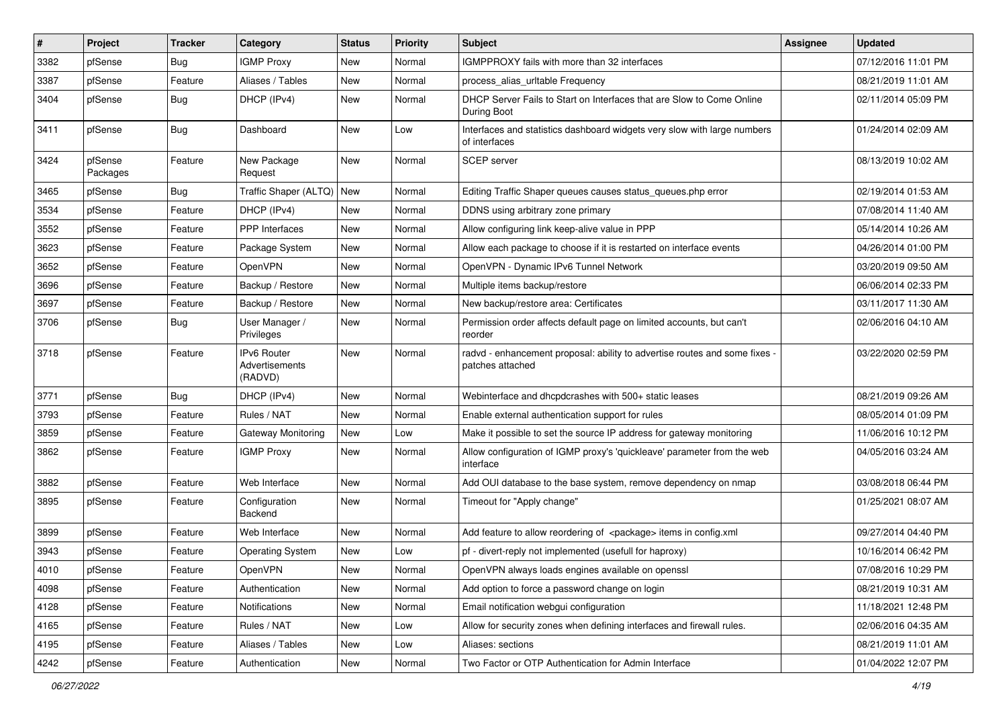| #    | Project             | <b>Tracker</b> | Category                                        | <b>Status</b> | <b>Priority</b> | <b>Subject</b>                                                                                 | <b>Assignee</b> | <b>Updated</b>      |
|------|---------------------|----------------|-------------------------------------------------|---------------|-----------------|------------------------------------------------------------------------------------------------|-----------------|---------------------|
| 3382 | pfSense             | Bug            | <b>IGMP Proxy</b>                               | New           | Normal          | IGMPPROXY fails with more than 32 interfaces                                                   |                 | 07/12/2016 11:01 PM |
| 3387 | pfSense             | Feature        | Aliases / Tables                                | New           | Normal          | process_alias_urltable Frequency                                                               |                 | 08/21/2019 11:01 AM |
| 3404 | pfSense             | Bug            | DHCP (IPv4)                                     | New           | Normal          | DHCP Server Fails to Start on Interfaces that are Slow to Come Online<br>During Boot           |                 | 02/11/2014 05:09 PM |
| 3411 | pfSense             | Bug            | Dashboard                                       | New           | Low             | Interfaces and statistics dashboard widgets very slow with large numbers<br>of interfaces      |                 | 01/24/2014 02:09 AM |
| 3424 | pfSense<br>Packages | Feature        | New Package<br>Request                          | New           | Normal          | <b>SCEP</b> server                                                                             |                 | 08/13/2019 10:02 AM |
| 3465 | pfSense             | Bug            | Traffic Shaper (ALTQ)                           | New           | Normal          | Editing Traffic Shaper queues causes status_queues.php error                                   |                 | 02/19/2014 01:53 AM |
| 3534 | pfSense             | Feature        | DHCP (IPv4)                                     | New           | Normal          | DDNS using arbitrary zone primary                                                              |                 | 07/08/2014 11:40 AM |
| 3552 | pfSense             | Feature        | <b>PPP</b> Interfaces                           | New           | Normal          | Allow configuring link keep-alive value in PPP                                                 |                 | 05/14/2014 10:26 AM |
| 3623 | pfSense             | Feature        | Package System                                  | New           | Normal          | Allow each package to choose if it is restarted on interface events                            |                 | 04/26/2014 01:00 PM |
| 3652 | pfSense             | Feature        | OpenVPN                                         | <b>New</b>    | Normal          | OpenVPN - Dynamic IPv6 Tunnel Network                                                          |                 | 03/20/2019 09:50 AM |
| 3696 | pfSense             | Feature        | Backup / Restore                                | New           | Normal          | Multiple items backup/restore                                                                  |                 | 06/06/2014 02:33 PM |
| 3697 | pfSense             | Feature        | Backup / Restore                                | New           | Normal          | New backup/restore area: Certificates                                                          |                 | 03/11/2017 11:30 AM |
| 3706 | pfSense             | Bug            | User Manager /<br><b>Privileges</b>             | New           | Normal          | Permission order affects default page on limited accounts, but can't<br>reorder                |                 | 02/06/2016 04:10 AM |
| 3718 | pfSense             | Feature        | <b>IPv6 Router</b><br>Advertisements<br>(RADVD) | New           | Normal          | radvd - enhancement proposal: ability to advertise routes and some fixes -<br>patches attached |                 | 03/22/2020 02:59 PM |
| 3771 | pfSense             | Bug            | DHCP (IPv4)                                     | New           | Normal          | Webinterface and dhcpdcrashes with 500+ static leases                                          |                 | 08/21/2019 09:26 AM |
| 3793 | pfSense             | Feature        | Rules / NAT                                     | New           | Normal          | Enable external authentication support for rules                                               |                 | 08/05/2014 01:09 PM |
| 3859 | pfSense             | Feature        | Gateway Monitoring                              | New           | Low             | Make it possible to set the source IP address for gateway monitoring                           |                 | 11/06/2016 10:12 PM |
| 3862 | pfSense             | Feature        | <b>IGMP Proxy</b>                               | New           | Normal          | Allow configuration of IGMP proxy's 'quickleave' parameter from the web<br>interface           |                 | 04/05/2016 03:24 AM |
| 3882 | pfSense             | Feature        | Web Interface                                   | New           | Normal          | Add OUI database to the base system, remove dependency on nmap                                 |                 | 03/08/2018 06:44 PM |
| 3895 | pfSense             | Feature        | Configuration<br>Backend                        | New           | Normal          | Timeout for "Apply change"                                                                     |                 | 01/25/2021 08:07 AM |
| 3899 | pfSense             | Feature        | Web Interface                                   | New           | Normal          | Add feature to allow reordering of <package> items in config.xml</package>                     |                 | 09/27/2014 04:40 PM |
| 3943 | pfSense             | Feature        | <b>Operating System</b>                         | New           | Low             | pf - divert-reply not implemented (usefull for haproxy)                                        |                 | 10/16/2014 06:42 PM |
| 4010 | pfSense             | Feature        | OpenVPN                                         | New           | Normal          | OpenVPN always loads engines available on openssl                                              |                 | 07/08/2016 10:29 PM |
| 4098 | pfSense             | Feature        | Authentication                                  | New           | Normal          | Add option to force a password change on login                                                 |                 | 08/21/2019 10:31 AM |
| 4128 | pfSense             | Feature        | Notifications                                   | New           | Normal          | Email notification webgui configuration                                                        |                 | 11/18/2021 12:48 PM |
| 4165 | pfSense             | Feature        | Rules / NAT                                     | New           | Low             | Allow for security zones when defining interfaces and firewall rules.                          |                 | 02/06/2016 04:35 AM |
| 4195 | pfSense             | Feature        | Aliases / Tables                                | New           | Low             | Aliases: sections                                                                              |                 | 08/21/2019 11:01 AM |
| 4242 | pfSense             | Feature        | Authentication                                  | New           | Normal          | Two Factor or OTP Authentication for Admin Interface                                           |                 | 01/04/2022 12:07 PM |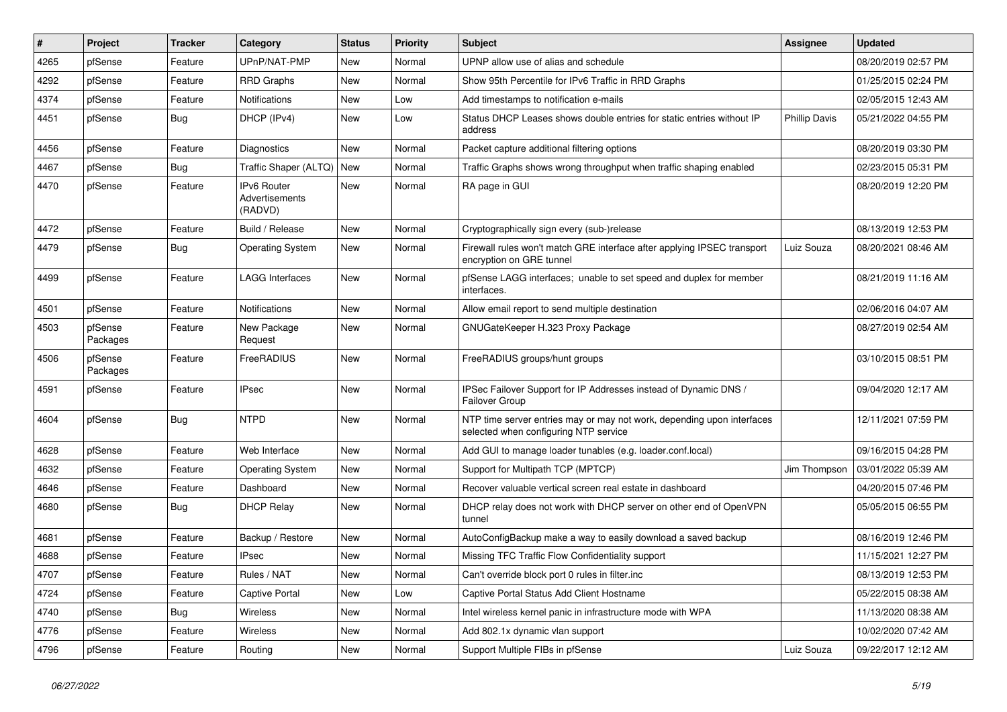| #    | Project             | <b>Tracker</b> | Category                                 | <b>Status</b> | <b>Priority</b> | <b>Subject</b>                                                                                                  | Assignee             | <b>Updated</b>      |
|------|---------------------|----------------|------------------------------------------|---------------|-----------------|-----------------------------------------------------------------------------------------------------------------|----------------------|---------------------|
| 4265 | pfSense             | Feature        | UPnP/NAT-PMP                             | New           | Normal          | UPNP allow use of alias and schedule                                                                            |                      | 08/20/2019 02:57 PM |
| 4292 | pfSense             | Feature        | <b>RRD Graphs</b>                        | New           | Normal          | Show 95th Percentile for IPv6 Traffic in RRD Graphs                                                             |                      | 01/25/2015 02:24 PM |
| 4374 | pfSense             | Feature        | Notifications                            | New           | Low             | Add timestamps to notification e-mails                                                                          |                      | 02/05/2015 12:43 AM |
| 4451 | pfSense             | <b>Bug</b>     | DHCP (IPv4)                              | New           | Low             | Status DHCP Leases shows double entries for static entries without IP<br>address                                | <b>Phillip Davis</b> | 05/21/2022 04:55 PM |
| 4456 | pfSense             | Feature        | <b>Diagnostics</b>                       | New           | Normal          | Packet capture additional filtering options                                                                     |                      | 08/20/2019 03:30 PM |
| 4467 | pfSense             | Bug            | Traffic Shaper (ALTQ)                    | New           | Normal          | Traffic Graphs shows wrong throughput when traffic shaping enabled                                              |                      | 02/23/2015 05:31 PM |
| 4470 | pfSense             | Feature        | IPv6 Router<br>Advertisements<br>(RADVD) | <b>New</b>    | Normal          | RA page in GUI                                                                                                  |                      | 08/20/2019 12:20 PM |
| 4472 | pfSense             | Feature        | Build / Release                          | New           | Normal          | Cryptographically sign every (sub-)release                                                                      |                      | 08/13/2019 12:53 PM |
| 4479 | pfSense             | Bug            | <b>Operating System</b>                  | New           | Normal          | Firewall rules won't match GRE interface after applying IPSEC transport<br>encryption on GRE tunnel             | Luiz Souza           | 08/20/2021 08:46 AM |
| 4499 | pfSense             | Feature        | <b>LAGG Interfaces</b>                   | New           | Normal          | pfSense LAGG interfaces; unable to set speed and duplex for member<br>interfaces.                               |                      | 08/21/2019 11:16 AM |
| 4501 | pfSense             | Feature        | Notifications                            | New           | Normal          | Allow email report to send multiple destination                                                                 |                      | 02/06/2016 04:07 AM |
| 4503 | pfSense<br>Packages | Feature        | New Package<br>Request                   | New           | Normal          | GNUGateKeeper H.323 Proxy Package                                                                               |                      | 08/27/2019 02:54 AM |
| 4506 | pfSense<br>Packages | Feature        | FreeRADIUS                               | New           | Normal          | FreeRADIUS groups/hunt groups                                                                                   |                      | 03/10/2015 08:51 PM |
| 4591 | pfSense             | Feature        | <b>IPsec</b>                             | New           | Normal          | IPSec Failover Support for IP Addresses instead of Dynamic DNS /<br>Failover Group                              |                      | 09/04/2020 12:17 AM |
| 4604 | pfSense             | Bug            | <b>NTPD</b>                              | New           | Normal          | NTP time server entries may or may not work, depending upon interfaces<br>selected when configuring NTP service |                      | 12/11/2021 07:59 PM |
| 4628 | pfSense             | Feature        | Web Interface                            | New           | Normal          | Add GUI to manage loader tunables (e.g. loader.conf.local)                                                      |                      | 09/16/2015 04:28 PM |
| 4632 | pfSense             | Feature        | <b>Operating System</b>                  | New           | Normal          | Support for Multipath TCP (MPTCP)                                                                               | Jim Thompson         | 03/01/2022 05:39 AM |
| 4646 | pfSense             | Feature        | Dashboard                                | New           | Normal          | Recover valuable vertical screen real estate in dashboard                                                       |                      | 04/20/2015 07:46 PM |
| 4680 | pfSense             | Bug            | <b>DHCP Relay</b>                        | New           | Normal          | DHCP relay does not work with DHCP server on other end of OpenVPN<br>tunnel                                     |                      | 05/05/2015 06:55 PM |
| 4681 | pfSense             | Feature        | Backup / Restore                         | New           | Normal          | AutoConfigBackup make a way to easily download a saved backup                                                   |                      | 08/16/2019 12:46 PM |
| 4688 | pfSense             | Feature        | <b>IPsec</b>                             | New           | Normal          | Missing TFC Traffic Flow Confidentiality support                                                                |                      | 11/15/2021 12:27 PM |
| 4707 | pfSense             | Feature        | Rules / NAT                              | New           | Normal          | Can't override block port 0 rules in filter.inc                                                                 |                      | 08/13/2019 12:53 PM |
| 4724 | pfSense             | Feature        | Captive Portal                           | New           | Low             | Captive Portal Status Add Client Hostname                                                                       |                      | 05/22/2015 08:38 AM |
| 4740 | pfSense             | <b>Bug</b>     | Wireless                                 | New           | Normal          | Intel wireless kernel panic in infrastructure mode with WPA                                                     |                      | 11/13/2020 08:38 AM |
| 4776 | pfSense             | Feature        | Wireless                                 | New           | Normal          | Add 802.1x dynamic vlan support                                                                                 |                      | 10/02/2020 07:42 AM |
| 4796 | pfSense             | Feature        | Routing                                  | New           | Normal          | Support Multiple FIBs in pfSense                                                                                | Luiz Souza           | 09/22/2017 12:12 AM |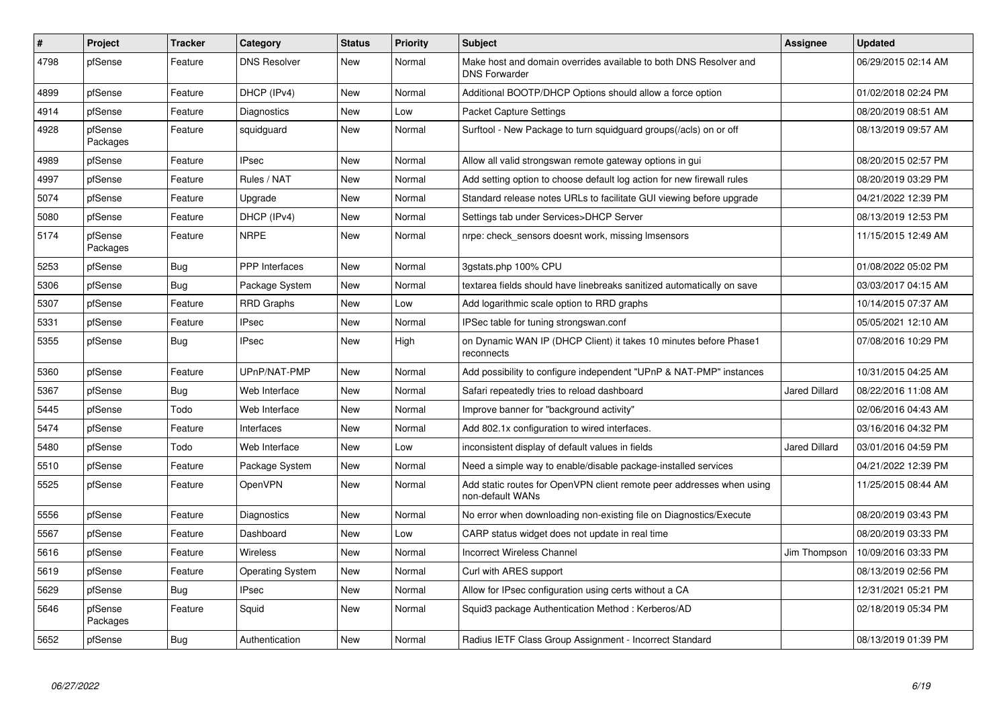| #    | Project             | <b>Tracker</b> | Category                | <b>Status</b> | <b>Priority</b> | <b>Subject</b>                                                                            | <b>Assignee</b>      | <b>Updated</b>      |
|------|---------------------|----------------|-------------------------|---------------|-----------------|-------------------------------------------------------------------------------------------|----------------------|---------------------|
| 4798 | pfSense             | Feature        | <b>DNS Resolver</b>     | <b>New</b>    | Normal          | Make host and domain overrides available to both DNS Resolver and<br><b>DNS Forwarder</b> |                      | 06/29/2015 02:14 AM |
| 4899 | pfSense             | Feature        | DHCP (IPv4)             | New           | Normal          | Additional BOOTP/DHCP Options should allow a force option                                 |                      | 01/02/2018 02:24 PM |
| 4914 | pfSense             | Feature        | Diagnostics             | New           | Low             | <b>Packet Capture Settings</b>                                                            |                      | 08/20/2019 08:51 AM |
| 4928 | pfSense<br>Packages | Feature        | squidguard              | <b>New</b>    | Normal          | Surftool - New Package to turn squidguard groups(/acls) on or off                         |                      | 08/13/2019 09:57 AM |
| 4989 | pfSense             | Feature        | <b>IPsec</b>            | New           | Normal          | Allow all valid strongswan remote gateway options in gui                                  |                      | 08/20/2015 02:57 PM |
| 4997 | pfSense             | Feature        | Rules / NAT             | New           | Normal          | Add setting option to choose default log action for new firewall rules                    |                      | 08/20/2019 03:29 PM |
| 5074 | pfSense             | Feature        | Upgrade                 | New           | Normal          | Standard release notes URLs to facilitate GUI viewing before upgrade                      |                      | 04/21/2022 12:39 PM |
| 5080 | pfSense             | Feature        | DHCP (IPv4)             | New           | Normal          | Settings tab under Services>DHCP Server                                                   |                      | 08/13/2019 12:53 PM |
| 5174 | pfSense<br>Packages | Feature        | <b>NRPE</b>             | New           | Normal          | nrpe: check sensors doesnt work, missing Imsensors                                        |                      | 11/15/2015 12:49 AM |
| 5253 | pfSense             | Bug            | PPP Interfaces          | New           | Normal          | 3gstats.php 100% CPU                                                                      |                      | 01/08/2022 05:02 PM |
| 5306 | pfSense             | Bug            | Package System          | New           | Normal          | textarea fields should have linebreaks sanitized automatically on save                    |                      | 03/03/2017 04:15 AM |
| 5307 | pfSense             | Feature        | <b>RRD Graphs</b>       | <b>New</b>    | Low             | Add logarithmic scale option to RRD graphs                                                |                      | 10/14/2015 07:37 AM |
| 5331 | pfSense             | Feature        | IPsec                   | New           | Normal          | IPSec table for tuning strongswan.conf                                                    |                      | 05/05/2021 12:10 AM |
| 5355 | pfSense             | <b>Bug</b>     | <b>IPsec</b>            | New           | High            | on Dynamic WAN IP (DHCP Client) it takes 10 minutes before Phase1<br>reconnects           |                      | 07/08/2016 10:29 PM |
| 5360 | pfSense             | Feature        | UPnP/NAT-PMP            | New           | Normal          | Add possibility to configure independent "UPnP & NAT-PMP" instances                       |                      | 10/31/2015 04:25 AM |
| 5367 | pfSense             | Bug            | Web Interface           | <b>New</b>    | Normal          | Safari repeatedly tries to reload dashboard                                               | <b>Jared Dillard</b> | 08/22/2016 11:08 AM |
| 5445 | pfSense             | Todo           | Web Interface           | New           | Normal          | Improve banner for "background activity"                                                  |                      | 02/06/2016 04:43 AM |
| 5474 | pfSense             | Feature        | Interfaces              | New           | Normal          | Add 802.1x configuration to wired interfaces.                                             |                      | 03/16/2016 04:32 PM |
| 5480 | pfSense             | Todo           | Web Interface           | New           | Low             | inconsistent display of default values in fields                                          | <b>Jared Dillard</b> | 03/01/2016 04:59 PM |
| 5510 | pfSense             | Feature        | Package System          | <b>New</b>    | Normal          | Need a simple way to enable/disable package-installed services                            |                      | 04/21/2022 12:39 PM |
| 5525 | pfSense             | Feature        | OpenVPN                 | New           | Normal          | Add static routes for OpenVPN client remote peer addresses when using<br>non-default WANs |                      | 11/25/2015 08:44 AM |
| 5556 | pfSense             | Feature        | Diagnostics             | New           | Normal          | No error when downloading non-existing file on Diagnostics/Execute                        |                      | 08/20/2019 03:43 PM |
| 5567 | pfSense             | Feature        | Dashboard               | <b>New</b>    | Low             | CARP status widget does not update in real time                                           |                      | 08/20/2019 03:33 PM |
| 5616 | pfSense             | Feature        | <b>Wireless</b>         | New           | Normal          | <b>Incorrect Wireless Channel</b>                                                         | Jim Thompson         | 10/09/2016 03:33 PM |
| 5619 | pfSense             | Feature        | <b>Operating System</b> | New           | Normal          | Curl with ARES support                                                                    |                      | 08/13/2019 02:56 PM |
| 5629 | pfSense             | Bug            | <b>IPsec</b>            | New           | Normal          | Allow for IPsec configuration using certs without a CA                                    |                      | 12/31/2021 05:21 PM |
| 5646 | pfSense<br>Packages | Feature        | Squid                   | New           | Normal          | Squid3 package Authentication Method: Kerberos/AD                                         |                      | 02/18/2019 05:34 PM |
| 5652 | pfSense             | Bug            | Authentication          | New           | Normal          | Radius IETF Class Group Assignment - Incorrect Standard                                   |                      | 08/13/2019 01:39 PM |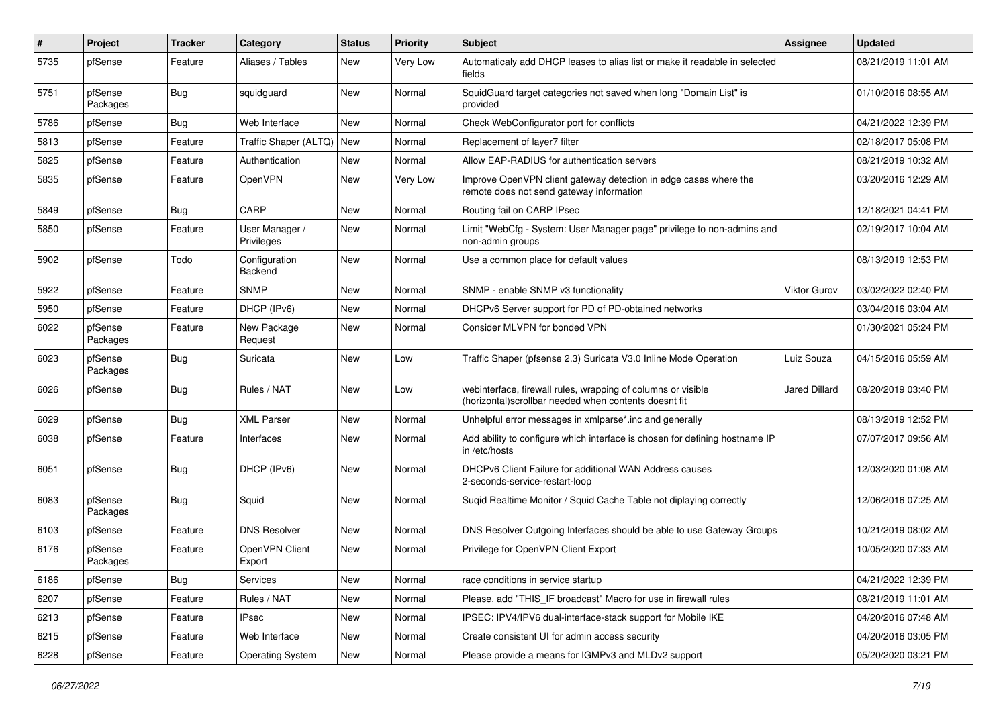| ∦    | Project             | <b>Tracker</b> | Category                     | <b>Status</b> | <b>Priority</b> | <b>Subject</b>                                                                                                         | <b>Assignee</b>      | <b>Updated</b>      |
|------|---------------------|----------------|------------------------------|---------------|-----------------|------------------------------------------------------------------------------------------------------------------------|----------------------|---------------------|
| 5735 | pfSense             | Feature        | Aliases / Tables             | New           | Very Low        | Automaticaly add DHCP leases to alias list or make it readable in selected<br>fields                                   |                      | 08/21/2019 11:01 AM |
| 5751 | pfSense<br>Packages | Bug            | squidguard                   | New           | Normal          | SquidGuard target categories not saved when long "Domain List" is<br>provided                                          |                      | 01/10/2016 08:55 AM |
| 5786 | pfSense             | Bug            | Web Interface                | New           | Normal          | Check WebConfigurator port for conflicts                                                                               |                      | 04/21/2022 12:39 PM |
| 5813 | pfSense             | Feature        | Traffic Shaper (ALTQ)        | New           | Normal          | Replacement of layer7 filter                                                                                           |                      | 02/18/2017 05:08 PM |
| 5825 | pfSense             | Feature        | Authentication               | New           | Normal          | Allow EAP-RADIUS for authentication servers                                                                            |                      | 08/21/2019 10:32 AM |
| 5835 | pfSense             | Feature        | OpenVPN                      | New           | Very Low        | Improve OpenVPN client gateway detection in edge cases where the<br>remote does not send gateway information           |                      | 03/20/2016 12:29 AM |
| 5849 | pfSense             | Bug            | CARP                         | <b>New</b>    | Normal          | Routing fail on CARP IPsec                                                                                             |                      | 12/18/2021 04:41 PM |
| 5850 | pfSense             | Feature        | User Manager /<br>Privileges | New           | Normal          | Limit "WebCfg - System: User Manager page" privilege to non-admins and<br>non-admin groups                             |                      | 02/19/2017 10:04 AM |
| 5902 | pfSense             | Todo           | Configuration<br>Backend     | New           | Normal          | Use a common place for default values                                                                                  |                      | 08/13/2019 12:53 PM |
| 5922 | pfSense             | Feature        | <b>SNMP</b>                  | New           | Normal          | SNMP - enable SNMP v3 functionality                                                                                    | <b>Viktor Gurov</b>  | 03/02/2022 02:40 PM |
| 5950 | pfSense             | Feature        | DHCP (IPv6)                  | <b>New</b>    | Normal          | DHCPv6 Server support for PD of PD-obtained networks                                                                   |                      | 03/04/2016 03:04 AM |
| 6022 | pfSense<br>Packages | Feature        | New Package<br>Request       | New           | Normal          | Consider MLVPN for bonded VPN                                                                                          |                      | 01/30/2021 05:24 PM |
| 6023 | pfSense<br>Packages | Bug            | Suricata                     | New           | Low             | Traffic Shaper (pfsense 2.3) Suricata V3.0 Inline Mode Operation                                                       | Luiz Souza           | 04/15/2016 05:59 AM |
| 6026 | pfSense             | Bug            | Rules / NAT                  | New           | Low             | webinterface, firewall rules, wrapping of columns or visible<br>(horizontal) scrollbar needed when contents doesnt fit | <b>Jared Dillard</b> | 08/20/2019 03:40 PM |
| 6029 | pfSense             | Bug            | <b>XML Parser</b>            | New           | Normal          | Unhelpful error messages in xmlparse*.inc and generally                                                                |                      | 08/13/2019 12:52 PM |
| 6038 | pfSense             | Feature        | Interfaces                   | New           | Normal          | Add ability to configure which interface is chosen for defining hostname IP<br>in/etc/hosts                            |                      | 07/07/2017 09:56 AM |
| 6051 | pfSense             | Bug            | DHCP (IPv6)                  | New           | Normal          | DHCPv6 Client Failure for additional WAN Address causes<br>2-seconds-service-restart-loop                              |                      | 12/03/2020 01:08 AM |
| 6083 | pfSense<br>Packages | Bug            | Squid                        | New           | Normal          | Suqid Realtime Monitor / Squid Cache Table not diplaying correctly                                                     |                      | 12/06/2016 07:25 AM |
| 6103 | pfSense             | Feature        | <b>DNS Resolver</b>          | New           | Normal          | DNS Resolver Outgoing Interfaces should be able to use Gateway Groups                                                  |                      | 10/21/2019 08:02 AM |
| 6176 | pfSense<br>Packages | Feature        | OpenVPN Client<br>Export     | <b>New</b>    | Normal          | Privilege for OpenVPN Client Export                                                                                    |                      | 10/05/2020 07:33 AM |
| 6186 | pfSense             | Bug            | Services                     | New           | Normal          | race conditions in service startup                                                                                     |                      | 04/21/2022 12:39 PM |
| 6207 | pfSense             | Feature        | Rules / NAT                  | New           | Normal          | Please, add "THIS IF broadcast" Macro for use in firewall rules                                                        |                      | 08/21/2019 11:01 AM |
| 6213 | pfSense             | Feature        | <b>IPsec</b>                 | New           | Normal          | IPSEC: IPV4/IPV6 dual-interface-stack support for Mobile IKE                                                           |                      | 04/20/2016 07:48 AM |
| 6215 | pfSense             | Feature        | Web Interface                | New           | Normal          | Create consistent UI for admin access security                                                                         |                      | 04/20/2016 03:05 PM |
| 6228 | pfSense             | Feature        | <b>Operating System</b>      | New           | Normal          | Please provide a means for IGMPv3 and MLDv2 support                                                                    |                      | 05/20/2020 03:21 PM |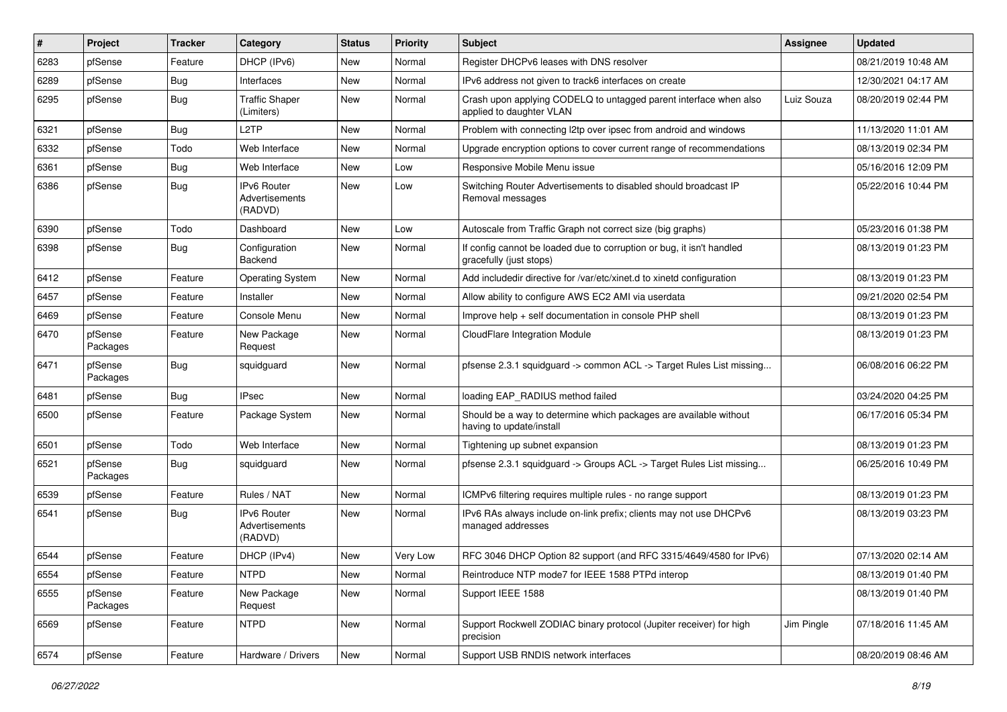| #    | Project             | <b>Tracker</b> | Category                                        | <b>Status</b> | <b>Priority</b> | Subject                                                                                          | Assignee   | <b>Updated</b>      |
|------|---------------------|----------------|-------------------------------------------------|---------------|-----------------|--------------------------------------------------------------------------------------------------|------------|---------------------|
| 6283 | pfSense             | Feature        | DHCP (IPv6)                                     | New           | Normal          | Register DHCPv6 leases with DNS resolver                                                         |            | 08/21/2019 10:48 AM |
| 6289 | pfSense             | Bug            | Interfaces                                      | New           | Normal          | IPv6 address not given to track6 interfaces on create                                            |            | 12/30/2021 04:17 AM |
| 6295 | pfSense             | Bug            | <b>Traffic Shaper</b><br>(Limiters)             | New           | Normal          | Crash upon applying CODELQ to untagged parent interface when also<br>applied to daughter VLAN    | Luiz Souza | 08/20/2019 02:44 PM |
| 6321 | pfSense             | Bug            | L <sub>2</sub> TP                               | New           | Normal          | Problem with connecting I2tp over ipsec from android and windows                                 |            | 11/13/2020 11:01 AM |
| 6332 | pfSense             | Todo           | Web Interface                                   | New           | Normal          | Upgrade encryption options to cover current range of recommendations                             |            | 08/13/2019 02:34 PM |
| 6361 | pfSense             | Bug            | Web Interface                                   | New           | Low             | Responsive Mobile Menu issue                                                                     |            | 05/16/2016 12:09 PM |
| 6386 | pfSense             | <b>Bug</b>     | IPv6 Router<br>Advertisements<br>(RADVD)        | <b>New</b>    | Low             | Switching Router Advertisements to disabled should broadcast IP<br>Removal messages              |            | 05/22/2016 10:44 PM |
| 6390 | pfSense             | Todo           | Dashboard                                       | New           | Low             | Autoscale from Traffic Graph not correct size (big graphs)                                       |            | 05/23/2016 01:38 PM |
| 6398 | pfSense             | Bug            | Configuration<br>Backend                        | New           | Normal          | If config cannot be loaded due to corruption or bug, it isn't handled<br>gracefully (just stops) |            | 08/13/2019 01:23 PM |
| 6412 | pfSense             | Feature        | <b>Operating System</b>                         | New           | Normal          | Add includedir directive for /var/etc/xinet.d to xinetd configuration                            |            | 08/13/2019 01:23 PM |
| 6457 | pfSense             | Feature        | Installer                                       | New           | Normal          | Allow ability to configure AWS EC2 AMI via userdata                                              |            | 09/21/2020 02:54 PM |
| 6469 | pfSense             | Feature        | Console Menu                                    | New           | Normal          | Improve help + self documentation in console PHP shell                                           |            | 08/13/2019 01:23 PM |
| 6470 | pfSense<br>Packages | Feature        | New Package<br>Request                          | New           | Normal          | CloudFlare Integration Module                                                                    |            | 08/13/2019 01:23 PM |
| 6471 | pfSense<br>Packages | Bug            | squidguard                                      | New           | Normal          | pfsense 2.3.1 squidguard -> common ACL -> Target Rules List missing                              |            | 06/08/2016 06:22 PM |
| 6481 | pfSense             | Bug            | <b>IPsec</b>                                    | <b>New</b>    | Normal          | loading EAP_RADIUS method failed                                                                 |            | 03/24/2020 04:25 PM |
| 6500 | pfSense             | Feature        | Package System                                  | New           | Normal          | Should be a way to determine which packages are available without<br>having to update/install    |            | 06/17/2016 05:34 PM |
| 6501 | pfSense             | Todo           | Web Interface                                   | New           | Normal          | Tightening up subnet expansion                                                                   |            | 08/13/2019 01:23 PM |
| 6521 | pfSense<br>Packages | Bug            | squidguard                                      | New           | Normal          | pfsense 2.3.1 squidguard -> Groups ACL -> Target Rules List missing                              |            | 06/25/2016 10:49 PM |
| 6539 | pfSense             | Feature        | Rules / NAT                                     | <b>New</b>    | Normal          | ICMPv6 filtering requires multiple rules - no range support                                      |            | 08/13/2019 01:23 PM |
| 6541 | pfSense             | Bug            | <b>IPv6 Router</b><br>Advertisements<br>(RADVD) | New           | Normal          | IPv6 RAs always include on-link prefix; clients may not use DHCPv6<br>managed addresses          |            | 08/13/2019 03:23 PM |
| 6544 | pfSense             | Feature        | DHCP (IPv4)                                     | New           | Very Low        | RFC 3046 DHCP Option 82 support (and RFC 3315/4649/4580 for IPv6)                                |            | 07/13/2020 02:14 AM |
| 6554 | pfSense             | Feature        | <b>NTPD</b>                                     | New           | Normal          | Reintroduce NTP mode7 for IEEE 1588 PTPd interop                                                 |            | 08/13/2019 01:40 PM |
| 6555 | pfSense<br>Packages | Feature        | New Package<br>Request                          | New           | Normal          | Support IEEE 1588                                                                                |            | 08/13/2019 01:40 PM |
| 6569 | pfSense             | Feature        | <b>NTPD</b>                                     | New           | Normal          | Support Rockwell ZODIAC binary protocol (Jupiter receiver) for high<br>precision                 | Jim Pingle | 07/18/2016 11:45 AM |
| 6574 | pfSense             | Feature        | Hardware / Drivers                              | New           | Normal          | Support USB RNDIS network interfaces                                                             |            | 08/20/2019 08:46 AM |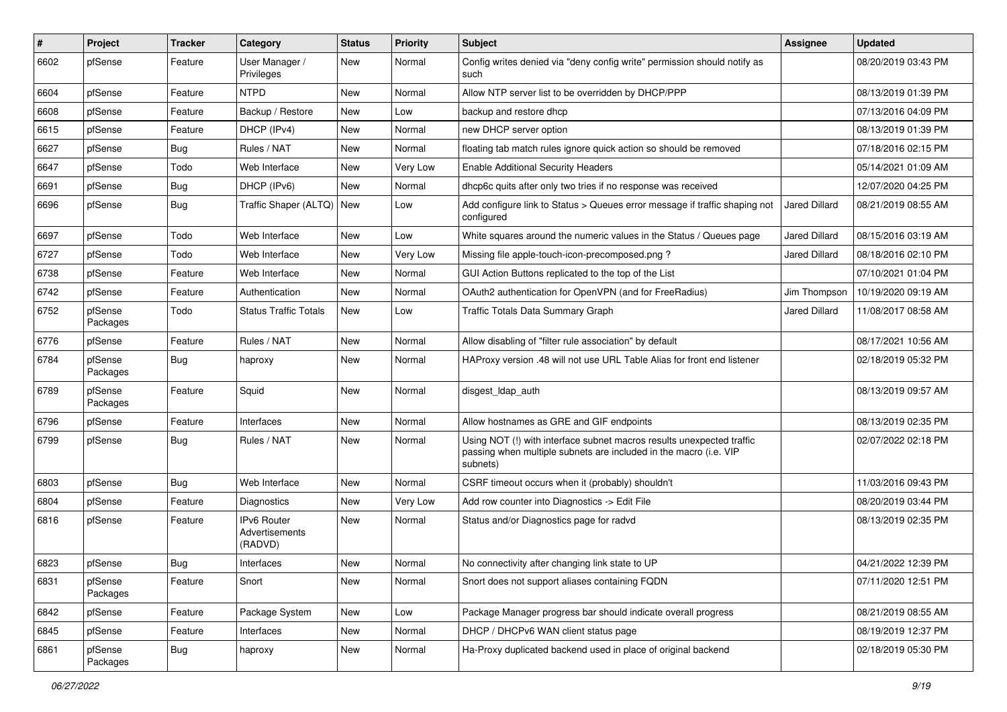| $\#$ | Project             | <b>Tracker</b> | Category                                 | <b>Status</b> | <b>Priority</b> | <b>Subject</b>                                                                                                                                         | Assignee             | <b>Updated</b>      |
|------|---------------------|----------------|------------------------------------------|---------------|-----------------|--------------------------------------------------------------------------------------------------------------------------------------------------------|----------------------|---------------------|
| 6602 | pfSense             | Feature        | User Manager /<br>Privileges             | New           | Normal          | Config writes denied via "deny config write" permission should notify as<br>such                                                                       |                      | 08/20/2019 03:43 PM |
| 6604 | pfSense             | Feature        | <b>NTPD</b>                              | New           | Normal          | Allow NTP server list to be overridden by DHCP/PPP                                                                                                     |                      | 08/13/2019 01:39 PM |
| 6608 | pfSense             | Feature        | Backup / Restore                         | New           | Low             | backup and restore dhcp                                                                                                                                |                      | 07/13/2016 04:09 PM |
| 6615 | pfSense             | Feature        | DHCP (IPv4)                              | New           | Normal          | new DHCP server option                                                                                                                                 |                      | 08/13/2019 01:39 PM |
| 6627 | pfSense             | Bug            | Rules / NAT                              | New           | Normal          | floating tab match rules ignore quick action so should be removed                                                                                      |                      | 07/18/2016 02:15 PM |
| 6647 | pfSense             | Todo           | Web Interface                            | New           | Very Low        | <b>Enable Additional Security Headers</b>                                                                                                              |                      | 05/14/2021 01:09 AM |
| 6691 | pfSense             | Bug            | DHCP (IPv6)                              | <b>New</b>    | Normal          | dhcp6c quits after only two tries if no response was received                                                                                          |                      | 12/07/2020 04:25 PM |
| 6696 | pfSense             | Bug            | Traffic Shaper (ALTQ)                    | New           | Low             | Add configure link to Status > Queues error message if traffic shaping not<br>configured                                                               | <b>Jared Dillard</b> | 08/21/2019 08:55 AM |
| 6697 | pfSense             | Todo           | Web Interface                            | New           | Low             | White squares around the numeric values in the Status / Queues page                                                                                    | <b>Jared Dillard</b> | 08/15/2016 03:19 AM |
| 6727 | pfSense             | Todo           | Web Interface                            | New           | Very Low        | Missing file apple-touch-icon-precomposed.png?                                                                                                         | <b>Jared Dillard</b> | 08/18/2016 02:10 PM |
| 6738 | pfSense             | Feature        | Web Interface                            | New           | Normal          | GUI Action Buttons replicated to the top of the List                                                                                                   |                      | 07/10/2021 01:04 PM |
| 6742 | pfSense             | Feature        | Authentication                           | New           | Normal          | OAuth2 authentication for OpenVPN (and for FreeRadius)                                                                                                 | Jim Thompson         | 10/19/2020 09:19 AM |
| 6752 | pfSense<br>Packages | Todo           | <b>Status Traffic Totals</b>             | New           | Low             | <b>Traffic Totals Data Summary Graph</b>                                                                                                               | <b>Jared Dillard</b> | 11/08/2017 08:58 AM |
| 6776 | pfSense             | Feature        | Rules / NAT                              | New           | Normal          | Allow disabling of "filter rule association" by default                                                                                                |                      | 08/17/2021 10:56 AM |
| 6784 | pfSense<br>Packages | Bug            | haproxy                                  | New           | Normal          | HAProxy version .48 will not use URL Table Alias for front end listener                                                                                |                      | 02/18/2019 05:32 PM |
| 6789 | pfSense<br>Packages | Feature        | Squid                                    | New           | Normal          | disgest_ldap_auth                                                                                                                                      |                      | 08/13/2019 09:57 AM |
| 6796 | pfSense             | Feature        | <b>Interfaces</b>                        | New           | Normal          | Allow hostnames as GRE and GIF endpoints                                                                                                               |                      | 08/13/2019 02:35 PM |
| 6799 | pfSense             | Bug            | Rules / NAT                              | New           | Normal          | Using NOT (!) with interface subnet macros results unexpected traffic<br>passing when multiple subnets are included in the macro (i.e. VIP<br>subnets) |                      | 02/07/2022 02:18 PM |
| 6803 | pfSense             | Bug            | Web Interface                            | New           | Normal          | CSRF timeout occurs when it (probably) shouldn't                                                                                                       |                      | 11/03/2016 09:43 PM |
| 6804 | pfSense             | Feature        | Diagnostics                              | <b>New</b>    | Very Low        | Add row counter into Diagnostics -> Edit File                                                                                                          |                      | 08/20/2019 03:44 PM |
| 6816 | pfSense             | Feature        | IPv6 Router<br>Advertisements<br>(RADVD) | New           | Normal          | Status and/or Diagnostics page for radvd                                                                                                               |                      | 08/13/2019 02:35 PM |
| 6823 | pfSense             | Bug            | Interfaces                               | New           | Normal          | No connectivity after changing link state to UP                                                                                                        |                      | 04/21/2022 12:39 PM |
| 6831 | pfSense<br>Packages | Feature        | Snort                                    | New           | Normal          | Snort does not support aliases containing FQDN                                                                                                         |                      | 07/11/2020 12:51 PM |
| 6842 | pfSense             | Feature        | Package System                           | New           | Low             | Package Manager progress bar should indicate overall progress                                                                                          |                      | 08/21/2019 08:55 AM |
| 6845 | pfSense             | Feature        | Interfaces                               | New           | Normal          | DHCP / DHCPv6 WAN client status page                                                                                                                   |                      | 08/19/2019 12:37 PM |
| 6861 | pfSense<br>Packages | Bug            | haproxy                                  | New           | Normal          | Ha-Proxy duplicated backend used in place of original backend                                                                                          |                      | 02/18/2019 05:30 PM |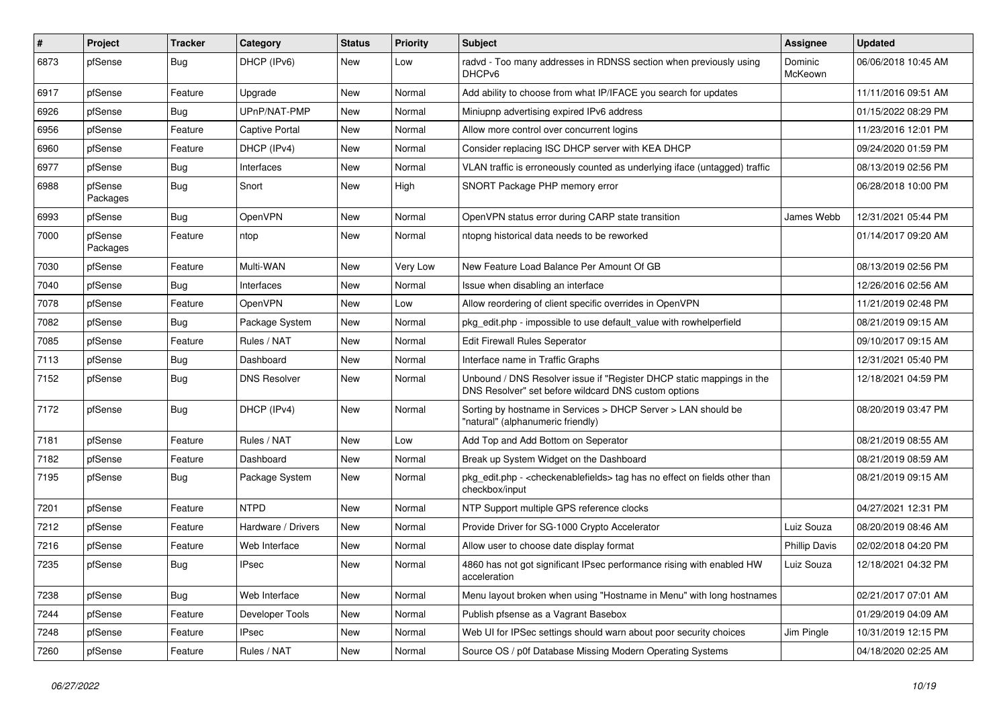| $\sharp$ | Project             | <b>Tracker</b> | Category            | <b>Status</b> | <b>Priority</b> | <b>Subject</b>                                                                                                                | Assignee             | <b>Updated</b>      |
|----------|---------------------|----------------|---------------------|---------------|-----------------|-------------------------------------------------------------------------------------------------------------------------------|----------------------|---------------------|
| 6873     | pfSense             | <b>Bug</b>     | DHCP (IPv6)         | New           | Low             | radvd - Too many addresses in RDNSS section when previously using<br>DHCPv6                                                   | Dominic<br>McKeown   | 06/06/2018 10:45 AM |
| 6917     | pfSense             | Feature        | Upgrade             | New           | Normal          | Add ability to choose from what IP/IFACE you search for updates                                                               |                      | 11/11/2016 09:51 AM |
| 6926     | pfSense             | Bug            | UPnP/NAT-PMP        | New           | Normal          | Miniupnp advertising expired IPv6 address                                                                                     |                      | 01/15/2022 08:29 PM |
| 6956     | pfSense             | Feature        | Captive Portal      | New           | Normal          | Allow more control over concurrent logins                                                                                     |                      | 11/23/2016 12:01 PM |
| 6960     | pfSense             | Feature        | DHCP (IPv4)         | New           | Normal          | Consider replacing ISC DHCP server with KEA DHCP                                                                              |                      | 09/24/2020 01:59 PM |
| 6977     | pfSense             | Bug            | Interfaces          | New           | Normal          | VLAN traffic is erroneously counted as underlying iface (untagged) traffic                                                    |                      | 08/13/2019 02:56 PM |
| 6988     | pfSense<br>Packages | <b>Bug</b>     | Snort               | New           | High            | SNORT Package PHP memory error                                                                                                |                      | 06/28/2018 10:00 PM |
| 6993     | pfSense             | Bug            | OpenVPN             | New           | Normal          | OpenVPN status error during CARP state transition                                                                             | James Webb           | 12/31/2021 05:44 PM |
| 7000     | pfSense<br>Packages | Feature        | ntop                | New           | Normal          | ntopng historical data needs to be reworked                                                                                   |                      | 01/14/2017 09:20 AM |
| 7030     | pfSense             | Feature        | Multi-WAN           | New           | Very Low        | New Feature Load Balance Per Amount Of GB                                                                                     |                      | 08/13/2019 02:56 PM |
| 7040     | pfSense             | Bug            | Interfaces          | New           | Normal          | Issue when disabling an interface                                                                                             |                      | 12/26/2016 02:56 AM |
| 7078     | pfSense             | Feature        | OpenVPN             | New           | Low             | Allow reordering of client specific overrides in OpenVPN                                                                      |                      | 11/21/2019 02:48 PM |
| 7082     | pfSense             | <b>Bug</b>     | Package System      | New           | Normal          | pkg edit.php - impossible to use default value with rowhelperfield                                                            |                      | 08/21/2019 09:15 AM |
| 7085     | pfSense             | Feature        | Rules / NAT         | New           | Normal          | Edit Firewall Rules Seperator                                                                                                 |                      | 09/10/2017 09:15 AM |
| 7113     | pfSense             | <b>Bug</b>     | Dashboard           | New           | Normal          | Interface name in Traffic Graphs                                                                                              |                      | 12/31/2021 05:40 PM |
| 7152     | pfSense             | Bug            | <b>DNS Resolver</b> | New           | Normal          | Unbound / DNS Resolver issue if "Register DHCP static mappings in the<br>DNS Resolver" set before wildcard DNS custom options |                      | 12/18/2021 04:59 PM |
| 7172     | pfSense             | <b>Bug</b>     | DHCP (IPv4)         | New           | Normal          | Sorting by hostname in Services > DHCP Server > LAN should be<br>"natural" (alphanumeric friendly)                            |                      | 08/20/2019 03:47 PM |
| 7181     | pfSense             | Feature        | Rules / NAT         | New           | Low             | Add Top and Add Bottom on Seperator                                                                                           |                      | 08/21/2019 08:55 AM |
| 7182     | pfSense             | Feature        | Dashboard           | New           | Normal          | Break up System Widget on the Dashboard                                                                                       |                      | 08/21/2019 08:59 AM |
| 7195     | pfSense             | Bug            | Package System      | New           | Normal          | pkg_edit.php - <checkenablefields> tag has no effect on fields other than<br/>checkbox/input</checkenablefields>              |                      | 08/21/2019 09:15 AM |
| 7201     | pfSense             | Feature        | <b>NTPD</b>         | New           | Normal          | NTP Support multiple GPS reference clocks                                                                                     |                      | 04/27/2021 12:31 PM |
| 7212     | pfSense             | Feature        | Hardware / Drivers  | New           | Normal          | Provide Driver for SG-1000 Crypto Accelerator                                                                                 | Luiz Souza           | 08/20/2019 08:46 AM |
| 7216     | pfSense             | Feature        | Web Interface       | New           | Normal          | Allow user to choose date display format                                                                                      | <b>Phillip Davis</b> | 02/02/2018 04:20 PM |
| 7235     | pfSense             | Bug            | <b>IPsec</b>        | New           | Normal          | 4860 has not got significant IPsec performance rising with enabled HW<br>acceleration                                         | Luiz Souza           | 12/18/2021 04:32 PM |
| 7238     | pfSense             | Bug            | Web Interface       | New           | Normal          | Menu layout broken when using "Hostname in Menu" with long hostnames                                                          |                      | 02/21/2017 07:01 AM |
| 7244     | pfSense             | Feature        | Developer Tools     | New           | Normal          | Publish pfsense as a Vagrant Basebox                                                                                          |                      | 01/29/2019 04:09 AM |
| 7248     | pfSense             | Feature        | <b>IPsec</b>        | New           | Normal          | Web UI for IPSec settings should warn about poor security choices                                                             | Jim Pingle           | 10/31/2019 12:15 PM |
| 7260     | pfSense             | Feature        | Rules / NAT         | New           | Normal          | Source OS / p0f Database Missing Modern Operating Systems                                                                     |                      | 04/18/2020 02:25 AM |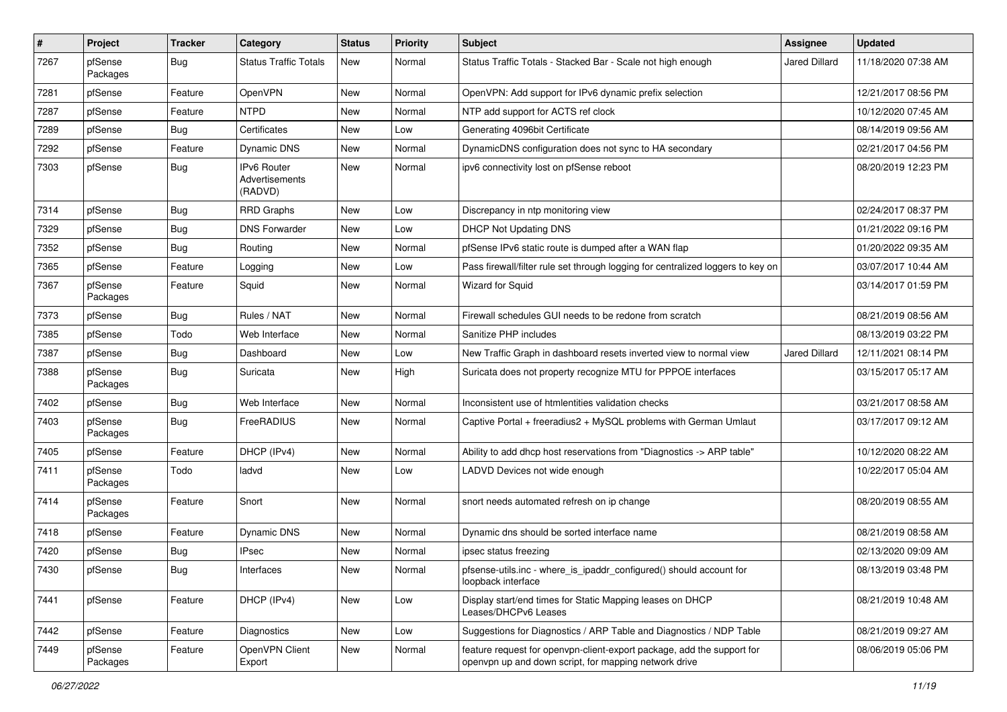| #    | Project             | <b>Tracker</b> | Category                                 | <b>Status</b> | <b>Priority</b> | <b>Subject</b>                                                                                                                  | <b>Assignee</b>      | <b>Updated</b>      |
|------|---------------------|----------------|------------------------------------------|---------------|-----------------|---------------------------------------------------------------------------------------------------------------------------------|----------------------|---------------------|
| 7267 | pfSense<br>Packages | Bug            | <b>Status Traffic Totals</b>             | New           | Normal          | Status Traffic Totals - Stacked Bar - Scale not high enough                                                                     | <b>Jared Dillard</b> | 11/18/2020 07:38 AM |
| 7281 | pfSense             | Feature        | OpenVPN                                  | New           | Normal          | OpenVPN: Add support for IPv6 dynamic prefix selection                                                                          |                      | 12/21/2017 08:56 PM |
| 7287 | pfSense             | Feature        | <b>NTPD</b>                              | New           | Normal          | NTP add support for ACTS ref clock                                                                                              |                      | 10/12/2020 07:45 AM |
| 7289 | pfSense             | Bug            | Certificates                             | New           | Low             | Generating 4096bit Certificate                                                                                                  |                      | 08/14/2019 09:56 AM |
| 7292 | pfSense             | Feature        | Dynamic DNS                              | New           | Normal          | DynamicDNS configuration does not sync to HA secondary                                                                          |                      | 02/21/2017 04:56 PM |
| 7303 | pfSense             | <b>Bug</b>     | IPv6 Router<br>Advertisements<br>(RADVD) | New           | Normal          | ipv6 connectivity lost on pfSense reboot                                                                                        |                      | 08/20/2019 12:23 PM |
| 7314 | pfSense             | Bug            | <b>RRD Graphs</b>                        | <b>New</b>    | Low             | Discrepancy in ntp monitoring view                                                                                              |                      | 02/24/2017 08:37 PM |
| 7329 | pfSense             | Bug            | <b>DNS Forwarder</b>                     | New           | Low             | DHCP Not Updating DNS                                                                                                           |                      | 01/21/2022 09:16 PM |
| 7352 | pfSense             | <b>Bug</b>     | Routing                                  | New           | Normal          | pfSense IPv6 static route is dumped after a WAN flap                                                                            |                      | 01/20/2022 09:35 AM |
| 7365 | pfSense             | Feature        | Logging                                  | New           | Low             | Pass firewall/filter rule set through logging for centralized loggers to key on                                                 |                      | 03/07/2017 10:44 AM |
| 7367 | pfSense<br>Packages | Feature        | Squid                                    | New           | Normal          | <b>Wizard for Squid</b>                                                                                                         |                      | 03/14/2017 01:59 PM |
| 7373 | pfSense             | <b>Bug</b>     | Rules / NAT                              | New           | Normal          | Firewall schedules GUI needs to be redone from scratch                                                                          |                      | 08/21/2019 08:56 AM |
| 7385 | pfSense             | Todo           | Web Interface                            | New           | Normal          | Sanitize PHP includes                                                                                                           |                      | 08/13/2019 03:22 PM |
| 7387 | pfSense             | Bug            | Dashboard                                | New           | Low             | New Traffic Graph in dashboard resets inverted view to normal view                                                              | <b>Jared Dillard</b> | 12/11/2021 08:14 PM |
| 7388 | pfSense<br>Packages | <b>Bug</b>     | Suricata                                 | New           | High            | Suricata does not property recognize MTU for PPPOE interfaces                                                                   |                      | 03/15/2017 05:17 AM |
| 7402 | pfSense             | <b>Bug</b>     | Web Interface                            | New           | Normal          | Inconsistent use of htmlentities validation checks                                                                              |                      | 03/21/2017 08:58 AM |
| 7403 | pfSense<br>Packages | Bug            | FreeRADIUS                               | New           | Normal          | Captive Portal + freeradius2 + MySQL problems with German Umlaut                                                                |                      | 03/17/2017 09:12 AM |
| 7405 | pfSense             | Feature        | DHCP (IPv4)                              | New           | Normal          | Ability to add dhcp host reservations from "Diagnostics -> ARP table"                                                           |                      | 10/12/2020 08:22 AM |
| 7411 | pfSense<br>Packages | Todo           | ladvd                                    | New           | Low             | LADVD Devices not wide enough                                                                                                   |                      | 10/22/2017 05:04 AM |
| 7414 | pfSense<br>Packages | Feature        | Snort                                    | New           | Normal          | snort needs automated refresh on ip change                                                                                      |                      | 08/20/2019 08:55 AM |
| 7418 | pfSense             | Feature        | Dynamic DNS                              | New           | Normal          | Dynamic dns should be sorted interface name                                                                                     |                      | 08/21/2019 08:58 AM |
| 7420 | pfSense             | Bug            | IPsec                                    | New           | Normal          | ipsec status freezing                                                                                                           |                      | 02/13/2020 09:09 AM |
| 7430 | pfSense             | Bug            | Interfaces                               | New           | Normal          | pfsense-utils.inc - where_is_ipaddr_configured() should account for<br>loopback interface                                       |                      | 08/13/2019 03:48 PM |
| 7441 | pfSense             | Feature        | DHCP (IPv4)                              | New           | Low             | Display start/end times for Static Mapping leases on DHCP<br>Leases/DHCPv6 Leases                                               |                      | 08/21/2019 10:48 AM |
| 7442 | pfSense             | Feature        | Diagnostics                              | New           | Low             | Suggestions for Diagnostics / ARP Table and Diagnostics / NDP Table                                                             |                      | 08/21/2019 09:27 AM |
| 7449 | pfSense<br>Packages | Feature        | OpenVPN Client<br>Export                 | New           | Normal          | feature request for openvpn-client-export package, add the support for<br>openvpn up and down script, for mapping network drive |                      | 08/06/2019 05:06 PM |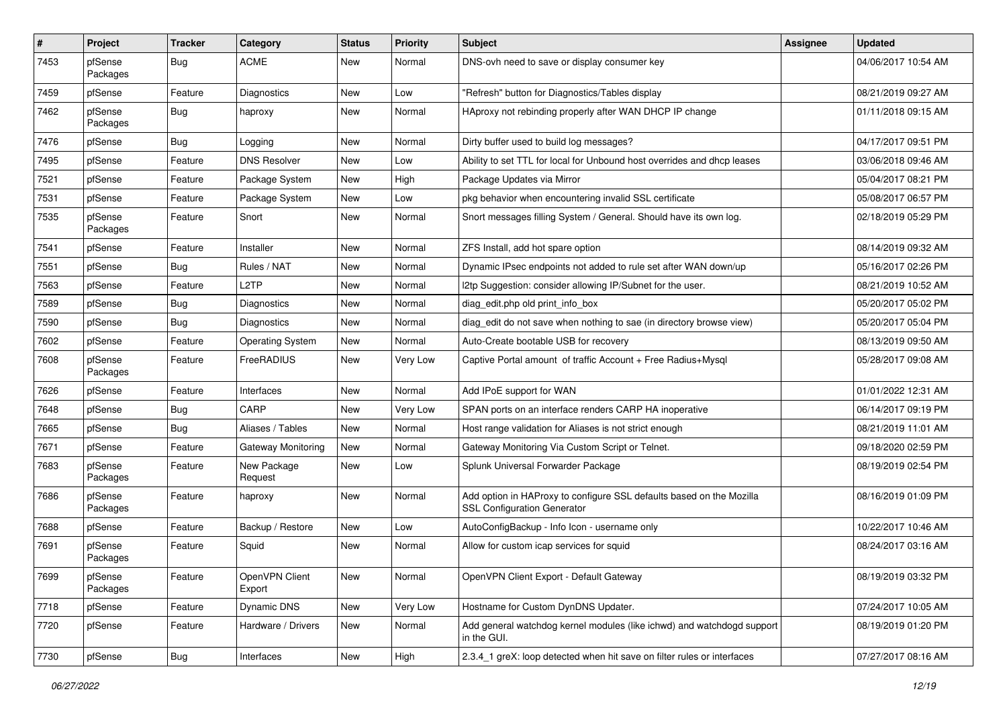| $\#$ | Project             | <b>Tracker</b> | Category                 | <b>Status</b> | <b>Priority</b> | <b>Subject</b>                                                                                             | <b>Assignee</b> | <b>Updated</b>      |
|------|---------------------|----------------|--------------------------|---------------|-----------------|------------------------------------------------------------------------------------------------------------|-----------------|---------------------|
| 7453 | pfSense<br>Packages | Bug            | <b>ACME</b>              | New           | Normal          | DNS-ovh need to save or display consumer key                                                               |                 | 04/06/2017 10:54 AM |
| 7459 | pfSense             | Feature        | <b>Diagnostics</b>       | New           | Low             | "Refresh" button for Diagnostics/Tables display                                                            |                 | 08/21/2019 09:27 AM |
| 7462 | pfSense<br>Packages | <b>Bug</b>     | haproxy                  | New           | Normal          | HAproxy not rebinding properly after WAN DHCP IP change                                                    |                 | 01/11/2018 09:15 AM |
| 7476 | pfSense             | Bug            | Logging                  | New           | Normal          | Dirty buffer used to build log messages?                                                                   |                 | 04/17/2017 09:51 PM |
| 7495 | pfSense             | Feature        | <b>DNS Resolver</b>      | New           | Low             | Ability to set TTL for local for Unbound host overrides and dhcp leases                                    |                 | 03/06/2018 09:46 AM |
| 7521 | pfSense             | Feature        | Package System           | New           | High            | Package Updates via Mirror                                                                                 |                 | 05/04/2017 08:21 PM |
| 7531 | pfSense             | Feature        | Package System           | New           | Low             | pkg behavior when encountering invalid SSL certificate                                                     |                 | 05/08/2017 06:57 PM |
| 7535 | pfSense<br>Packages | Feature        | Snort                    | <b>New</b>    | Normal          | Snort messages filling System / General. Should have its own log.                                          |                 | 02/18/2019 05:29 PM |
| 7541 | pfSense             | Feature        | Installer                | New           | Normal          | ZFS Install, add hot spare option                                                                          |                 | 08/14/2019 09:32 AM |
| 7551 | pfSense             | Bug            | Rules / NAT              | New           | Normal          | Dynamic IPsec endpoints not added to rule set after WAN down/up                                            |                 | 05/16/2017 02:26 PM |
| 7563 | pfSense             | Feature        | L2TP                     | New           | Normal          | I2tp Suggestion: consider allowing IP/Subnet for the user.                                                 |                 | 08/21/2019 10:52 AM |
| 7589 | pfSense             | Bug            | <b>Diagnostics</b>       | New           | Normal          | diag_edit.php old print_info_box                                                                           |                 | 05/20/2017 05:02 PM |
| 7590 | pfSense             | Bug            | Diagnostics              | New           | Normal          | diag edit do not save when nothing to sae (in directory browse view)                                       |                 | 05/20/2017 05:04 PM |
| 7602 | pfSense             | Feature        | <b>Operating System</b>  | New           | Normal          | Auto-Create bootable USB for recovery                                                                      |                 | 08/13/2019 09:50 AM |
| 7608 | pfSense<br>Packages | Feature        | FreeRADIUS               | New           | Very Low        | Captive Portal amount of traffic Account + Free Radius+Mysql                                               |                 | 05/28/2017 09:08 AM |
| 7626 | pfSense             | Feature        | Interfaces               | New           | Normal          | Add IPoE support for WAN                                                                                   |                 | 01/01/2022 12:31 AM |
| 7648 | pfSense             | Bug            | CARP                     | New           | Very Low        | SPAN ports on an interface renders CARP HA inoperative                                                     |                 | 06/14/2017 09:19 PM |
| 7665 | pfSense             | Bug            | Aliases / Tables         | New           | Normal          | Host range validation for Aliases is not strict enough                                                     |                 | 08/21/2019 11:01 AM |
| 7671 | pfSense             | Feature        | Gateway Monitoring       | <b>New</b>    | Normal          | Gateway Monitoring Via Custom Script or Telnet.                                                            |                 | 09/18/2020 02:59 PM |
| 7683 | pfSense<br>Packages | Feature        | New Package<br>Request   | New           | Low             | Splunk Universal Forwarder Package                                                                         |                 | 08/19/2019 02:54 PM |
| 7686 | pfSense<br>Packages | Feature        | haproxy                  | New           | Normal          | Add option in HAProxy to configure SSL defaults based on the Mozilla<br><b>SSL Configuration Generator</b> |                 | 08/16/2019 01:09 PM |
| 7688 | pfSense             | Feature        | Backup / Restore         | New           | Low             | AutoConfigBackup - Info Icon - username only                                                               |                 | 10/22/2017 10:46 AM |
| 7691 | pfSense<br>Packages | Feature        | Squid                    | New           | Normal          | Allow for custom icap services for squid                                                                   |                 | 08/24/2017 03:16 AM |
| 7699 | pfSense<br>Packages | Feature        | OpenVPN Client<br>Export | New           | Normal          | OpenVPN Client Export - Default Gateway                                                                    |                 | 08/19/2019 03:32 PM |
| 7718 | pfSense             | Feature        | Dynamic DNS              | New           | Very Low        | Hostname for Custom DynDNS Updater.                                                                        |                 | 07/24/2017 10:05 AM |
| 7720 | pfSense             | Feature        | Hardware / Drivers       | New           | Normal          | Add general watchdog kernel modules (like ichwd) and watchdogd support<br>in the GUI.                      |                 | 08/19/2019 01:20 PM |
| 7730 | pfSense             | <b>Bug</b>     | Interfaces               | New           | High            | 2.3.4_1 greX: loop detected when hit save on filter rules or interfaces                                    |                 | 07/27/2017 08:16 AM |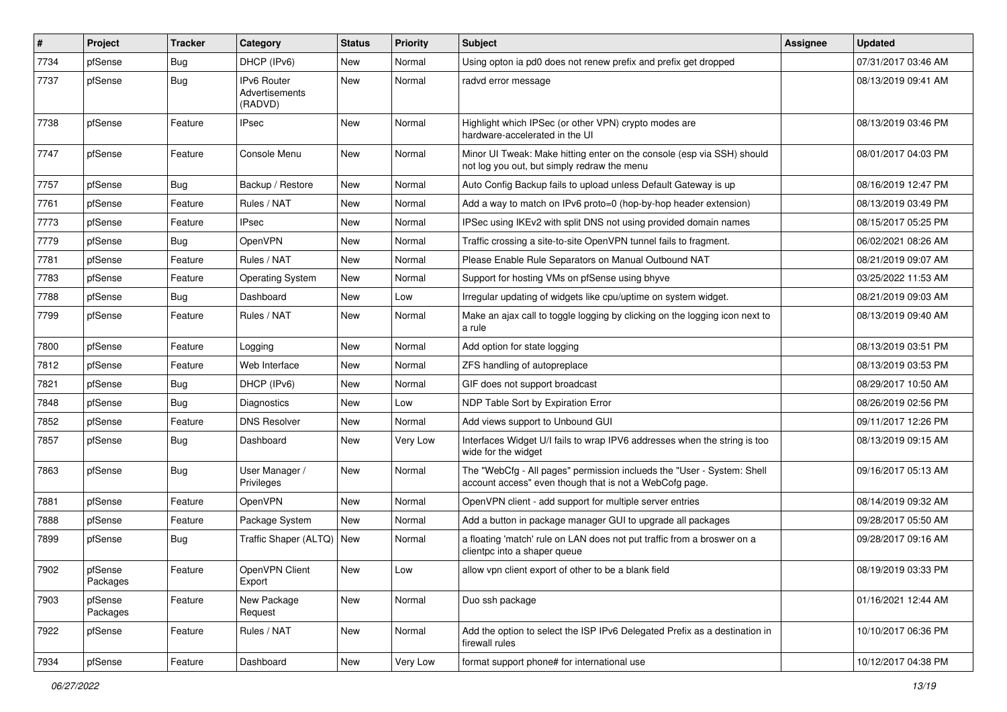| $\vert$ # | Project             | <b>Tracker</b> | Category                                 | <b>Status</b> | <b>Priority</b> | Subject                                                                                                                           | <b>Assignee</b> | <b>Updated</b>      |
|-----------|---------------------|----------------|------------------------------------------|---------------|-----------------|-----------------------------------------------------------------------------------------------------------------------------------|-----------------|---------------------|
| 7734      | pfSense             | Bug            | DHCP (IPv6)                              | New           | Normal          | Using opton ia pd0 does not renew prefix and prefix get dropped                                                                   |                 | 07/31/2017 03:46 AM |
| 7737      | pfSense             | Bug            | IPv6 Router<br>Advertisements<br>(RADVD) | New           | Normal          | radvd error message                                                                                                               |                 | 08/13/2019 09:41 AM |
| 7738      | pfSense             | Feature        | <b>IPsec</b>                             | New           | Normal          | Highlight which IPSec (or other VPN) crypto modes are<br>hardware-accelerated in the UI                                           |                 | 08/13/2019 03:46 PM |
| 7747      | pfSense             | Feature        | Console Menu                             | New           | Normal          | Minor UI Tweak: Make hitting enter on the console (esp via SSH) should<br>not log you out, but simply redraw the menu             |                 | 08/01/2017 04:03 PM |
| 7757      | pfSense             | Bug            | Backup / Restore                         | <b>New</b>    | Normal          | Auto Config Backup fails to upload unless Default Gateway is up                                                                   |                 | 08/16/2019 12:47 PM |
| 7761      | pfSense             | Feature        | Rules / NAT                              | New           | Normal          | Add a way to match on IPv6 proto=0 (hop-by-hop header extension)                                                                  |                 | 08/13/2019 03:49 PM |
| 7773      | pfSense             | Feature        | <b>IPsec</b>                             | New           | Normal          | IPSec using IKEv2 with split DNS not using provided domain names                                                                  |                 | 08/15/2017 05:25 PM |
| 7779      | pfSense             | Bug            | OpenVPN                                  | New           | Normal          | Traffic crossing a site-to-site OpenVPN tunnel fails to fragment.                                                                 |                 | 06/02/2021 08:26 AM |
| 7781      | pfSense             | Feature        | Rules / NAT                              | <b>New</b>    | Normal          | Please Enable Rule Separators on Manual Outbound NAT                                                                              |                 | 08/21/2019 09:07 AM |
| 7783      | pfSense             | Feature        | <b>Operating System</b>                  | New           | Normal          | Support for hosting VMs on pfSense using bhyve                                                                                    |                 | 03/25/2022 11:53 AM |
| 7788      | pfSense             | <b>Bug</b>     | Dashboard                                | New           | Low             | Irregular updating of widgets like cpu/uptime on system widget.                                                                   |                 | 08/21/2019 09:03 AM |
| 7799      | pfSense             | Feature        | Rules / NAT                              | New           | Normal          | Make an ajax call to toggle logging by clicking on the logging icon next to<br>a rule                                             |                 | 08/13/2019 09:40 AM |
| 7800      | pfSense             | Feature        | Logging                                  | New           | Normal          | Add option for state logging                                                                                                      |                 | 08/13/2019 03:51 PM |
| 7812      | pfSense             | Feature        | Web Interface                            | New           | Normal          | ZFS handling of autopreplace                                                                                                      |                 | 08/13/2019 03:53 PM |
| 7821      | pfSense             | <b>Bug</b>     | DHCP (IPv6)                              | New           | Normal          | GIF does not support broadcast                                                                                                    |                 | 08/29/2017 10:50 AM |
| 7848      | pfSense             | Bug            | Diagnostics                              | <b>New</b>    | Low             | NDP Table Sort by Expiration Error                                                                                                |                 | 08/26/2019 02:56 PM |
| 7852      | pfSense             | Feature        | <b>DNS Resolver</b>                      | New           | Normal          | Add views support to Unbound GUI                                                                                                  |                 | 09/11/2017 12:26 PM |
| 7857      | pfSense             | <b>Bug</b>     | Dashboard                                | New           | Very Low        | Interfaces Widget U/I fails to wrap IPV6 addresses when the string is too<br>wide for the widget                                  |                 | 08/13/2019 09:15 AM |
| 7863      | pfSense             | Bug            | User Manager /<br>Privileges             | New           | Normal          | The "WebCfg - All pages" permission inclueds the "User - System: Shell<br>account access" even though that is not a WebCofg page. |                 | 09/16/2017 05:13 AM |
| 7881      | pfSense             | Feature        | OpenVPN                                  | New           | Normal          | OpenVPN client - add support for multiple server entries                                                                          |                 | 08/14/2019 09:32 AM |
| 7888      | pfSense             | Feature        | Package System                           | <b>New</b>    | Normal          | Add a button in package manager GUI to upgrade all packages                                                                       |                 | 09/28/2017 05:50 AM |
| 7899      | pfSense             | <b>Bug</b>     | Traffic Shaper (ALTQ)                    | New           | Normal          | a floating 'match' rule on LAN does not put traffic from a broswer on a<br>clientpc into a shaper queue                           |                 | 09/28/2017 09:16 AM |
| 7902      | pfSense<br>Packages | Feature        | OpenVPN Client<br>Export                 | New           | Low             | allow vpn client export of other to be a blank field                                                                              |                 | 08/19/2019 03:33 PM |
| 7903      | pfSense<br>Packages | Feature        | New Package<br>Request                   | New           | Normal          | Duo ssh package                                                                                                                   |                 | 01/16/2021 12:44 AM |
| 7922      | pfSense             | Feature        | Rules / NAT                              | New           | Normal          | Add the option to select the ISP IPv6 Delegated Prefix as a destination in<br>firewall rules                                      |                 | 10/10/2017 06:36 PM |
| 7934      | pfSense             | Feature        | Dashboard                                | New           | Very Low        | format support phone# for international use                                                                                       |                 | 10/12/2017 04:38 PM |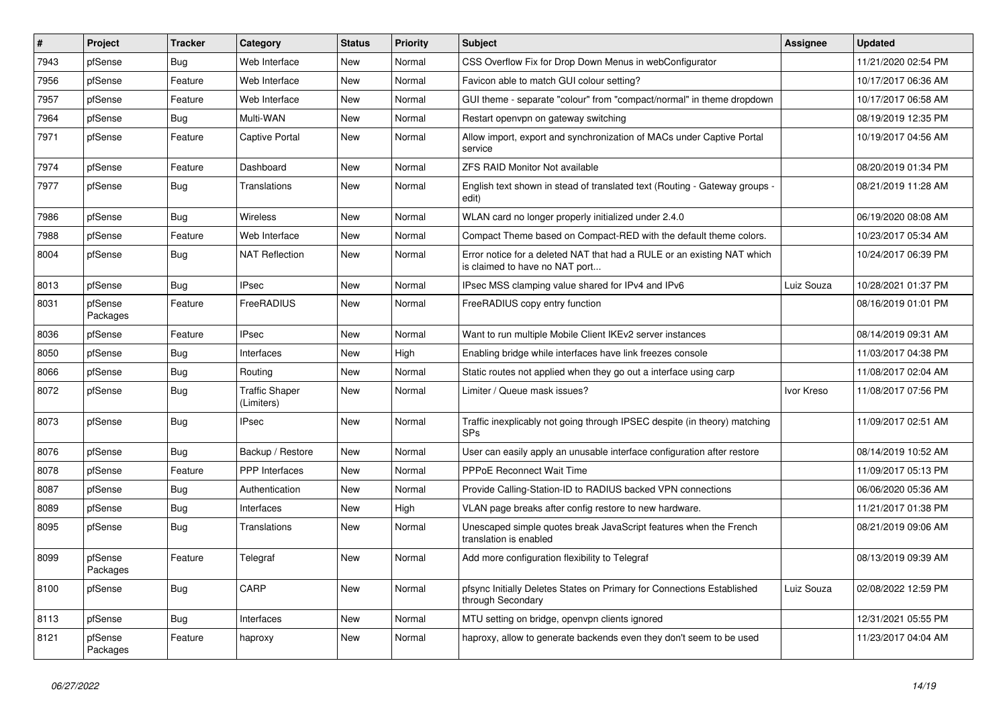| $\sharp$ | Project             | <b>Tracker</b> | Category                            | <b>Status</b> | <b>Priority</b> | <b>Subject</b>                                                                                            | Assignee   | <b>Updated</b>      |
|----------|---------------------|----------------|-------------------------------------|---------------|-----------------|-----------------------------------------------------------------------------------------------------------|------------|---------------------|
| 7943     | pfSense             | Bug            | Web Interface                       | New           | Normal          | CSS Overflow Fix for Drop Down Menus in webConfigurator                                                   |            | 11/21/2020 02:54 PM |
| 7956     | pfSense             | Feature        | Web Interface                       | New           | Normal          | Favicon able to match GUI colour setting?                                                                 |            | 10/17/2017 06:36 AM |
| 7957     | pfSense             | Feature        | Web Interface                       | New           | Normal          | GUI theme - separate "colour" from "compact/normal" in theme dropdown                                     |            | 10/17/2017 06:58 AM |
| 7964     | pfSense             | <b>Bug</b>     | Multi-WAN                           | New           | Normal          | Restart openvpn on gateway switching                                                                      |            | 08/19/2019 12:35 PM |
| 7971     | pfSense             | Feature        | Captive Portal                      | New           | Normal          | Allow import, export and synchronization of MACs under Captive Portal<br>service                          |            | 10/19/2017 04:56 AM |
| 7974     | pfSense             | Feature        | Dashboard                           | New           | Normal          | ZFS RAID Monitor Not available                                                                            |            | 08/20/2019 01:34 PM |
| 7977     | pfSense             | <b>Bug</b>     | Translations                        | New           | Normal          | English text shown in stead of translated text (Routing - Gateway groups -<br>edit)                       |            | 08/21/2019 11:28 AM |
| 7986     | pfSense             | Bug            | Wireless                            | New           | Normal          | WLAN card no longer properly initialized under 2.4.0                                                      |            | 06/19/2020 08:08 AM |
| 7988     | pfSense             | Feature        | Web Interface                       | New           | Normal          | Compact Theme based on Compact-RED with the default theme colors.                                         |            | 10/23/2017 05:34 AM |
| 8004     | pfSense             | Bug            | <b>NAT Reflection</b>               | New           | Normal          | Error notice for a deleted NAT that had a RULE or an existing NAT which<br>is claimed to have no NAT port |            | 10/24/2017 06:39 PM |
| 8013     | pfSense             | Bug            | <b>IPsec</b>                        | New           | Normal          | IPsec MSS clamping value shared for IPv4 and IPv6                                                         | Luiz Souza | 10/28/2021 01:37 PM |
| 8031     | pfSense<br>Packages | Feature        | FreeRADIUS                          | New           | Normal          | FreeRADIUS copy entry function                                                                            |            | 08/16/2019 01:01 PM |
| 8036     | pfSense             | Feature        | <b>IPsec</b>                        | New           | Normal          | Want to run multiple Mobile Client IKEv2 server instances                                                 |            | 08/14/2019 09:31 AM |
| 8050     | pfSense             | <b>Bug</b>     | Interfaces                          | New           | High            | Enabling bridge while interfaces have link freezes console                                                |            | 11/03/2017 04:38 PM |
| 8066     | pfSense             | <b>Bug</b>     | Routing                             | New           | Normal          | Static routes not applied when they go out a interface using carp                                         |            | 11/08/2017 02:04 AM |
| 8072     | pfSense             | <b>Bug</b>     | <b>Traffic Shaper</b><br>(Limiters) | New           | Normal          | Limiter / Queue mask issues?                                                                              | Ivor Kreso | 11/08/2017 07:56 PM |
| 8073     | pfSense             | <b>Bug</b>     | <b>IPsec</b>                        | <b>New</b>    | Normal          | Traffic inexplicably not going through IPSEC despite (in theory) matching<br><b>SPs</b>                   |            | 11/09/2017 02:51 AM |
| 8076     | pfSense             | <b>Bug</b>     | Backup / Restore                    | New           | Normal          | User can easily apply an unusable interface configuration after restore                                   |            | 08/14/2019 10:52 AM |
| 8078     | pfSense             | Feature        | <b>PPP</b> Interfaces               | New           | Normal          | PPPoE Reconnect Wait Time                                                                                 |            | 11/09/2017 05:13 PM |
| 8087     | pfSense             | Bug            | Authentication                      | New           | Normal          | Provide Calling-Station-ID to RADIUS backed VPN connections                                               |            | 06/06/2020 05:36 AM |
| 8089     | pfSense             | Bug            | Interfaces                          | New           | High            | VLAN page breaks after config restore to new hardware.                                                    |            | 11/21/2017 01:38 PM |
| 8095     | pfSense             | Bug            | Translations                        | New           | Normal          | Unescaped simple quotes break JavaScript features when the French<br>translation is enabled               |            | 08/21/2019 09:06 AM |
| 8099     | pfSense<br>Packages | Feature        | Telegraf                            | New           | Normal          | Add more configuration flexibility to Telegraf                                                            |            | 08/13/2019 09:39 AM |
| 8100     | pfSense             | <b>Bug</b>     | CARP                                | New           | Normal          | pfsync Initially Deletes States on Primary for Connections Established<br>through Secondary               | Luiz Souza | 02/08/2022 12:59 PM |
| 8113     | pfSense             | Bug            | Interfaces                          | New           | Normal          | MTU setting on bridge, openypn clients ignored                                                            |            | 12/31/2021 05:55 PM |
| 8121     | pfSense<br>Packages | Feature        | haproxy                             | New           | Normal          | haproxy, allow to generate backends even they don't seem to be used                                       |            | 11/23/2017 04:04 AM |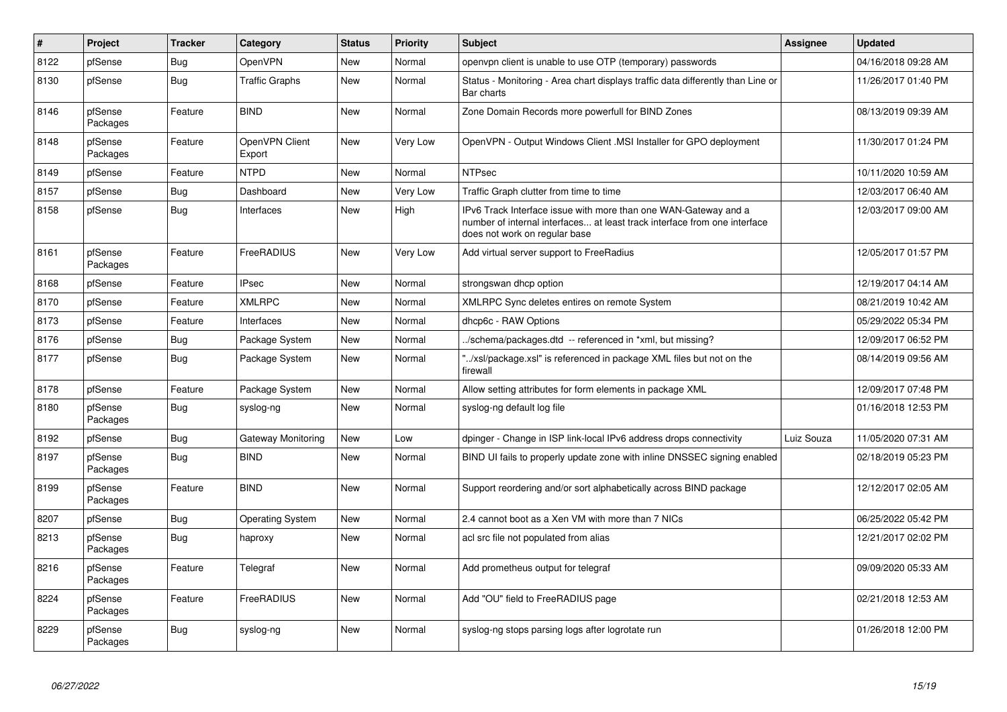| #    | <b>Project</b>      | <b>Tracker</b> | Category                  | <b>Status</b> | Priority | <b>Subject</b>                                                                                                                                                                | <b>Assignee</b> | <b>Updated</b>      |
|------|---------------------|----------------|---------------------------|---------------|----------|-------------------------------------------------------------------------------------------------------------------------------------------------------------------------------|-----------------|---------------------|
| 8122 | pfSense             | Bug            | OpenVPN                   | <b>New</b>    | Normal   | openvpn client is unable to use OTP (temporary) passwords                                                                                                                     |                 | 04/16/2018 09:28 AM |
| 8130 | pfSense             | <b>Bug</b>     | <b>Traffic Graphs</b>     | <b>New</b>    | Normal   | Status - Monitoring - Area chart displays traffic data differently than Line or<br>Bar charts                                                                                 |                 | 11/26/2017 01:40 PM |
| 8146 | pfSense<br>Packages | Feature        | <b>BIND</b>               | <b>New</b>    | Normal   | Zone Domain Records more powerfull for BIND Zones                                                                                                                             |                 | 08/13/2019 09:39 AM |
| 8148 | pfSense<br>Packages | Feature        | OpenVPN Client<br>Export  | New           | Very Low | OpenVPN - Output Windows Client .MSI Installer for GPO deployment                                                                                                             |                 | 11/30/2017 01:24 PM |
| 8149 | pfSense             | Feature        | <b>NTPD</b>               | New           | Normal   | <b>NTPsec</b>                                                                                                                                                                 |                 | 10/11/2020 10:59 AM |
| 8157 | pfSense             | <b>Bug</b>     | Dashboard                 | New           | Very Low | Traffic Graph clutter from time to time                                                                                                                                       |                 | 12/03/2017 06:40 AM |
| 8158 | pfSense             | Bug            | Interfaces                | <b>New</b>    | High     | IPv6 Track Interface issue with more than one WAN-Gateway and a<br>number of internal interfaces at least track interface from one interface<br>does not work on regular base |                 | 12/03/2017 09:00 AM |
| 8161 | pfSense<br>Packages | Feature        | FreeRADIUS                | <b>New</b>    | Very Low | Add virtual server support to FreeRadius                                                                                                                                      |                 | 12/05/2017 01:57 PM |
| 8168 | pfSense             | Feature        | <b>IPsec</b>              | New           | Normal   | strongswan dhcp option                                                                                                                                                        |                 | 12/19/2017 04:14 AM |
| 8170 | pfSense             | Feature        | <b>XMLRPC</b>             | <b>New</b>    | Normal   | XMLRPC Sync deletes entires on remote System                                                                                                                                  |                 | 08/21/2019 10:42 AM |
| 8173 | pfSense             | Feature        | Interfaces                | <b>New</b>    | Normal   | dhcp6c - RAW Options                                                                                                                                                          |                 | 05/29/2022 05:34 PM |
| 8176 | pfSense             | Bug            | Package System            | New           | Normal   | ./schema/packages.dtd -- referenced in *xml, but missing?                                                                                                                     |                 | 12/09/2017 06:52 PM |
| 8177 | pfSense             | Bug            | Package System            | New           | Normal   | "/xsl/package.xsl" is referenced in package XML files but not on the<br>firewall                                                                                              |                 | 08/14/2019 09:56 AM |
| 8178 | pfSense             | Feature        | Package System            | <b>New</b>    | Normal   | Allow setting attributes for form elements in package XML                                                                                                                     |                 | 12/09/2017 07:48 PM |
| 8180 | pfSense<br>Packages | <b>Bug</b>     | syslog-ng                 | <b>New</b>    | Normal   | syslog-ng default log file                                                                                                                                                    |                 | 01/16/2018 12:53 PM |
| 8192 | pfSense             | <b>Bug</b>     | <b>Gateway Monitoring</b> | <b>New</b>    | Low      | dpinger - Change in ISP link-local IPv6 address drops connectivity                                                                                                            | Luiz Souza      | 11/05/2020 07:31 AM |
| 8197 | pfSense<br>Packages | Bug            | <b>BIND</b>               | <b>New</b>    | Normal   | BIND UI fails to properly update zone with inline DNSSEC signing enabled                                                                                                      |                 | 02/18/2019 05:23 PM |
| 8199 | pfSense<br>Packages | Feature        | <b>BIND</b>               | New           | Normal   | Support reordering and/or sort alphabetically across BIND package                                                                                                             |                 | 12/12/2017 02:05 AM |
| 8207 | pfSense             | Bug            | <b>Operating System</b>   | <b>New</b>    | Normal   | 2.4 cannot boot as a Xen VM with more than 7 NICs                                                                                                                             |                 | 06/25/2022 05:42 PM |
| 8213 | pfSense<br>Packages | Bug            | haproxy                   | <b>New</b>    | Normal   | acl src file not populated from alias                                                                                                                                         |                 | 12/21/2017 02:02 PM |
| 8216 | pfSense<br>Packages | Feature        | Telegraf                  | New           | Normal   | Add prometheus output for telegraf                                                                                                                                            |                 | 09/09/2020 05:33 AM |
| 8224 | pfSense<br>Packages | Feature        | FreeRADIUS                | New           | Normal   | Add "OU" field to FreeRADIUS page                                                                                                                                             |                 | 02/21/2018 12:53 AM |
| 8229 | pfSense<br>Packages | Bug            | syslog-ng                 | <b>New</b>    | Normal   | syslog-ng stops parsing logs after logrotate run                                                                                                                              |                 | 01/26/2018 12:00 PM |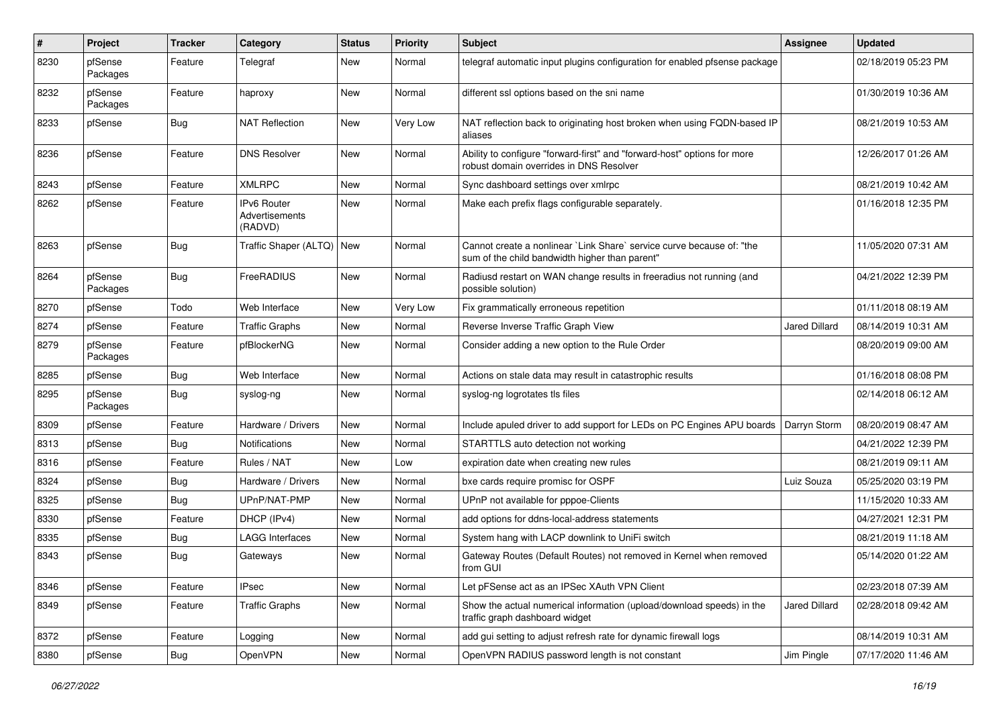| $\pmb{\#}$ | Project             | <b>Tracker</b> | Category                                        | <b>Status</b> | <b>Priority</b> | <b>Subject</b>                                                                                                          | <b>Assignee</b>      | <b>Updated</b>      |
|------------|---------------------|----------------|-------------------------------------------------|---------------|-----------------|-------------------------------------------------------------------------------------------------------------------------|----------------------|---------------------|
| 8230       | pfSense<br>Packages | Feature        | Telegraf                                        | New           | Normal          | telegraf automatic input plugins configuration for enabled pfsense package                                              |                      | 02/18/2019 05:23 PM |
| 8232       | pfSense<br>Packages | Feature        | haproxy                                         | New           | Normal          | different ssl options based on the sni name                                                                             |                      | 01/30/2019 10:36 AM |
| 8233       | pfSense             | <b>Bug</b>     | <b>NAT Reflection</b>                           | New           | Very Low        | NAT reflection back to originating host broken when using FQDN-based IP<br>aliases                                      |                      | 08/21/2019 10:53 AM |
| 8236       | pfSense             | Feature        | <b>DNS Resolver</b>                             | New           | Normal          | Ability to configure "forward-first" and "forward-host" options for more<br>robust domain overrides in DNS Resolver     |                      | 12/26/2017 01:26 AM |
| 8243       | pfSense             | Feature        | <b>XMLRPC</b>                                   | New           | Normal          | Sync dashboard settings over xmlrpc                                                                                     |                      | 08/21/2019 10:42 AM |
| 8262       | pfSense             | Feature        | <b>IPv6 Router</b><br>Advertisements<br>(RADVD) | New           | Normal          | Make each prefix flags configurable separately.                                                                         |                      | 01/16/2018 12:35 PM |
| 8263       | pfSense             | Bug            | Traffic Shaper (ALTQ)                           | New           | Normal          | Cannot create a nonlinear `Link Share` service curve because of: "the<br>sum of the child bandwidth higher than parent" |                      | 11/05/2020 07:31 AM |
| 8264       | pfSense<br>Packages | Bug            | FreeRADIUS                                      | New           | Normal          | Radiusd restart on WAN change results in freeradius not running (and<br>possible solution)                              |                      | 04/21/2022 12:39 PM |
| 8270       | pfSense             | Todo           | Web Interface                                   | <b>New</b>    | Very Low        | Fix grammatically erroneous repetition                                                                                  |                      | 01/11/2018 08:19 AM |
| 8274       | pfSense             | Feature        | <b>Traffic Graphs</b>                           | New           | Normal          | Reverse Inverse Traffic Graph View                                                                                      | <b>Jared Dillard</b> | 08/14/2019 10:31 AM |
| 8279       | pfSense<br>Packages | Feature        | pfBlockerNG                                     | New           | Normal          | Consider adding a new option to the Rule Order                                                                          |                      | 08/20/2019 09:00 AM |
| 8285       | pfSense             | Bug            | Web Interface                                   | New           | Normal          | Actions on stale data may result in catastrophic results                                                                |                      | 01/16/2018 08:08 PM |
| 8295       | pfSense<br>Packages | Bug            | syslog-ng                                       | New           | Normal          | syslog-ng logrotates tls files                                                                                          |                      | 02/14/2018 06:12 AM |
| 8309       | pfSense             | Feature        | Hardware / Drivers                              | New           | Normal          | Include apuled driver to add support for LEDs on PC Engines APU boards                                                  | Darryn Storm         | 08/20/2019 08:47 AM |
| 8313       | pfSense             | <b>Bug</b>     | <b>Notifications</b>                            | New           | Normal          | STARTTLS auto detection not working                                                                                     |                      | 04/21/2022 12:39 PM |
| 8316       | pfSense             | Feature        | Rules / NAT                                     | New           | Low             | expiration date when creating new rules                                                                                 |                      | 08/21/2019 09:11 AM |
| 8324       | pfSense             | Bug            | Hardware / Drivers                              | New           | Normal          | bxe cards require promisc for OSPF                                                                                      | Luiz Souza           | 05/25/2020 03:19 PM |
| 8325       | pfSense             | Bug            | UPnP/NAT-PMP                                    | New           | Normal          | UPnP not available for pppoe-Clients                                                                                    |                      | 11/15/2020 10:33 AM |
| 8330       | pfSense             | Feature        | DHCP (IPv4)                                     | <b>New</b>    | Normal          | add options for ddns-local-address statements                                                                           |                      | 04/27/2021 12:31 PM |
| 8335       | pfSense             | <b>Bug</b>     | <b>LAGG Interfaces</b>                          | New           | Normal          | System hang with LACP downlink to UniFi switch                                                                          |                      | 08/21/2019 11:18 AM |
| 8343       | pfSense             | Bug            | Gateways                                        | New           | Normal          | Gateway Routes (Default Routes) not removed in Kernel when removed<br>from GUI                                          |                      | 05/14/2020 01:22 AM |
| 8346       | pfSense             | Feature        | <b>IPsec</b>                                    | New           | Normal          | Let pFSense act as an IPSec XAuth VPN Client                                                                            |                      | 02/23/2018 07:39 AM |
| 8349       | pfSense             | Feature        | <b>Traffic Graphs</b>                           | New           | Normal          | Show the actual numerical information (upload/download speeds) in the<br>traffic graph dashboard widget                 | <b>Jared Dillard</b> | 02/28/2018 09:42 AM |
| 8372       | pfSense             | Feature        | Logging                                         | New           | Normal          | add gui setting to adjust refresh rate for dynamic firewall logs                                                        |                      | 08/14/2019 10:31 AM |
| 8380       | pfSense             | <b>Bug</b>     | OpenVPN                                         | New           | Normal          | OpenVPN RADIUS password length is not constant                                                                          | Jim Pingle           | 07/17/2020 11:46 AM |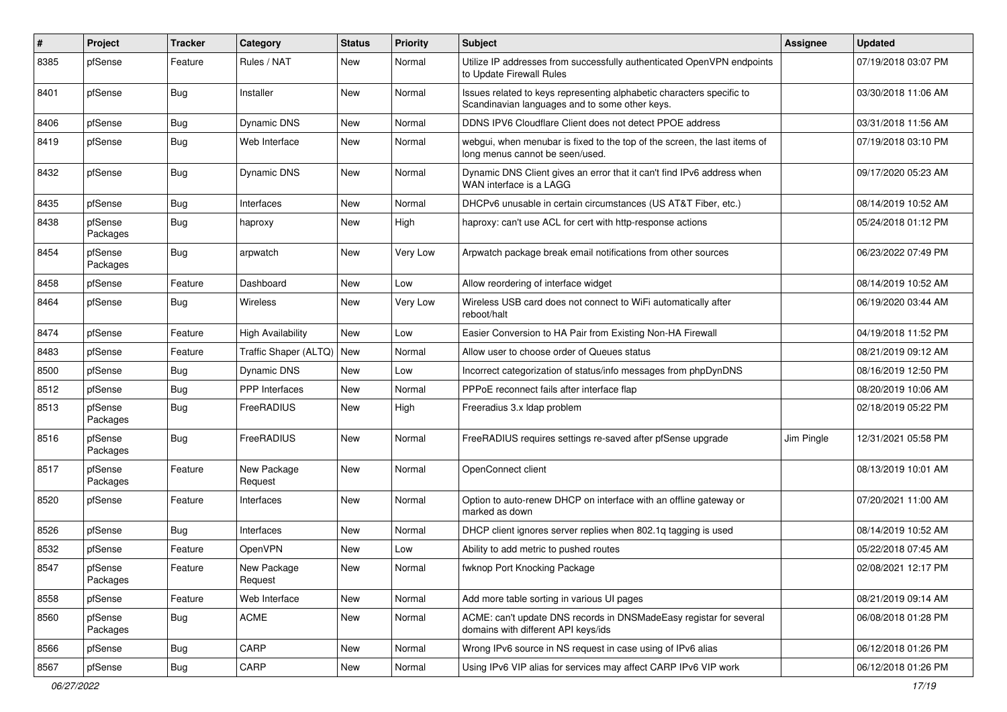| #    | Project             | <b>Tracker</b> | Category                 | <b>Status</b> | <b>Priority</b> | <b>Subject</b>                                                                                                          | <b>Assignee</b> | <b>Updated</b>      |
|------|---------------------|----------------|--------------------------|---------------|-----------------|-------------------------------------------------------------------------------------------------------------------------|-----------------|---------------------|
| 8385 | pfSense             | Feature        | Rules / NAT              | New           | Normal          | Utilize IP addresses from successfully authenticated OpenVPN endpoints<br>to Update Firewall Rules                      |                 | 07/19/2018 03:07 PM |
| 8401 | pfSense             | Bug            | Installer                | New           | Normal          | Issues related to keys representing alphabetic characters specific to<br>Scandinavian languages and to some other keys. |                 | 03/30/2018 11:06 AM |
| 8406 | pfSense             | Bug            | Dynamic DNS              | New           | Normal          | DDNS IPV6 Cloudflare Client does not detect PPOE address                                                                |                 | 03/31/2018 11:56 AM |
| 8419 | pfSense             | <b>Bug</b>     | Web Interface            | New           | Normal          | webgui, when menubar is fixed to the top of the screen, the last items of<br>long menus cannot be seen/used.            |                 | 07/19/2018 03:10 PM |
| 8432 | pfSense             | Bug            | Dynamic DNS              | New           | Normal          | Dynamic DNS Client gives an error that it can't find IPv6 address when<br>WAN interface is a LAGG                       |                 | 09/17/2020 05:23 AM |
| 8435 | pfSense             | <b>Bug</b>     | Interfaces               | New           | Normal          | DHCPv6 unusable in certain circumstances (US AT&T Fiber, etc.)                                                          |                 | 08/14/2019 10:52 AM |
| 8438 | pfSense<br>Packages | Bug            | haproxy                  | New           | High            | haproxy: can't use ACL for cert with http-response actions                                                              |                 | 05/24/2018 01:12 PM |
| 8454 | pfSense<br>Packages | Bug            | arpwatch                 | New           | Very Low        | Arpwatch package break email notifications from other sources                                                           |                 | 06/23/2022 07:49 PM |
| 8458 | pfSense             | Feature        | Dashboard                | New           | Low             | Allow reordering of interface widget                                                                                    |                 | 08/14/2019 10:52 AM |
| 8464 | pfSense             | Bug            | Wireless                 | New           | Very Low        | Wireless USB card does not connect to WiFi automatically after<br>reboot/halt                                           |                 | 06/19/2020 03:44 AM |
| 8474 | pfSense             | Feature        | <b>High Availability</b> | New           | Low             | Easier Conversion to HA Pair from Existing Non-HA Firewall                                                              |                 | 04/19/2018 11:52 PM |
| 8483 | pfSense             | Feature        | Traffic Shaper (ALTQ)    | New           | Normal          | Allow user to choose order of Queues status                                                                             |                 | 08/21/2019 09:12 AM |
| 8500 | pfSense             | Bug            | <b>Dynamic DNS</b>       | New           | Low             | Incorrect categorization of status/info messages from phpDynDNS                                                         |                 | 08/16/2019 12:50 PM |
| 8512 | pfSense             | Bug            | <b>PPP</b> Interfaces    | New           | Normal          | PPPoE reconnect fails after interface flap                                                                              |                 | 08/20/2019 10:06 AM |
| 8513 | pfSense<br>Packages | Bug            | FreeRADIUS               | New           | High            | Freeradius 3.x Idap problem                                                                                             |                 | 02/18/2019 05:22 PM |
| 8516 | pfSense<br>Packages | Bug            | FreeRADIUS               | New           | Normal          | FreeRADIUS requires settings re-saved after pfSense upgrade                                                             | Jim Pingle      | 12/31/2021 05:58 PM |
| 8517 | pfSense<br>Packages | Feature        | New Package<br>Request   | New           | Normal          | OpenConnect client                                                                                                      |                 | 08/13/2019 10:01 AM |
| 8520 | pfSense             | Feature        | Interfaces               | New           | Normal          | Option to auto-renew DHCP on interface with an offline gateway or<br>marked as down                                     |                 | 07/20/2021 11:00 AM |
| 8526 | pfSense             | <b>Bug</b>     | Interfaces               | New           | Normal          | DHCP client ignores server replies when 802.1g tagging is used                                                          |                 | 08/14/2019 10:52 AM |
| 8532 | pfSense             | Feature        | OpenVPN                  | New           | Low             | Ability to add metric to pushed routes                                                                                  |                 | 05/22/2018 07:45 AM |
| 8547 | pfSense<br>Packages | Feature        | New Package<br>Request   | New           | Normal          | fwknop Port Knocking Package                                                                                            |                 | 02/08/2021 12:17 PM |
| 8558 | pfSense             | Feature        | Web Interface            | New           | Normal          | Add more table sorting in various UI pages                                                                              |                 | 08/21/2019 09:14 AM |
| 8560 | pfSense<br>Packages | <b>Bug</b>     | ACME                     | New           | Normal          | ACME: can't update DNS records in DNSMadeEasy registar for several<br>domains with different API keys/ids               |                 | 06/08/2018 01:28 PM |
| 8566 | pfSense             | <b>Bug</b>     | CARP                     | New           | Normal          | Wrong IPv6 source in NS request in case using of IPv6 alias                                                             |                 | 06/12/2018 01:26 PM |
| 8567 | pfSense             | <b>Bug</b>     | CARP                     | New           | Normal          | Using IPv6 VIP alias for services may affect CARP IPv6 VIP work                                                         |                 | 06/12/2018 01:26 PM |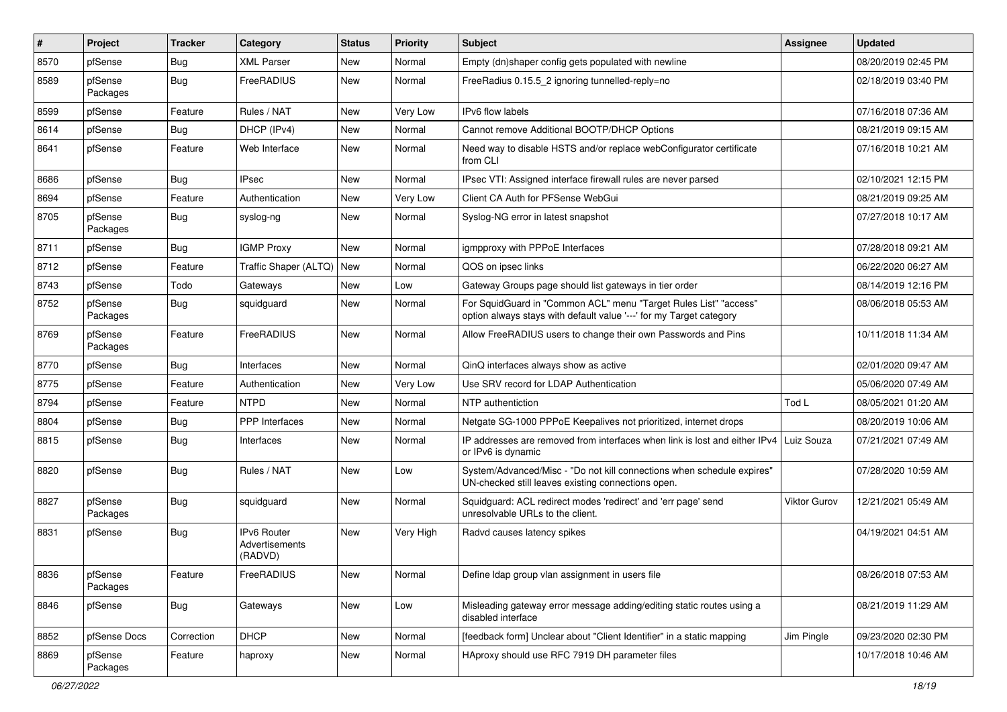| #    | Project             | <b>Tracker</b> | Category                                        | <b>Status</b> | <b>Priority</b> | <b>Subject</b>                                                                                                                          | <b>Assignee</b> | <b>Updated</b>      |
|------|---------------------|----------------|-------------------------------------------------|---------------|-----------------|-----------------------------------------------------------------------------------------------------------------------------------------|-----------------|---------------------|
| 8570 | pfSense             | Bug            | <b>XML Parser</b>                               | New           | Normal          | Empty (dn)shaper config gets populated with newline                                                                                     |                 | 08/20/2019 02:45 PM |
| 8589 | pfSense<br>Packages | <b>Bug</b>     | FreeRADIUS                                      | <b>New</b>    | Normal          | FreeRadius 0.15.5 2 ignoring tunnelled-reply=no                                                                                         |                 | 02/18/2019 03:40 PM |
| 8599 | pfSense             | Feature        | Rules / NAT                                     | <b>New</b>    | Very Low        | <b>IPv6</b> flow labels                                                                                                                 |                 | 07/16/2018 07:36 AM |
| 8614 | pfSense             | Bug            | DHCP (IPv4)                                     | <b>New</b>    | Normal          | Cannot remove Additional BOOTP/DHCP Options                                                                                             |                 | 08/21/2019 09:15 AM |
| 8641 | pfSense             | Feature        | Web Interface                                   | <b>New</b>    | Normal          | Need way to disable HSTS and/or replace webConfigurator certificate<br>from CLI                                                         |                 | 07/16/2018 10:21 AM |
| 8686 | pfSense             | <b>Bug</b>     | <b>IPsec</b>                                    | <b>New</b>    | Normal          | IPsec VTI: Assigned interface firewall rules are never parsed                                                                           |                 | 02/10/2021 12:15 PM |
| 8694 | pfSense             | Feature        | Authentication                                  | New           | Very Low        | Client CA Auth for PFSense WebGui                                                                                                       |                 | 08/21/2019 09:25 AM |
| 8705 | pfSense<br>Packages | Bug            | syslog-ng                                       | New           | Normal          | Syslog-NG error in latest snapshot                                                                                                      |                 | 07/27/2018 10:17 AM |
| 8711 | pfSense             | Bug            | <b>IGMP Proxy</b>                               | <b>New</b>    | Normal          | igmpproxy with PPPoE Interfaces                                                                                                         |                 | 07/28/2018 09:21 AM |
| 8712 | pfSense             | Feature        | Traffic Shaper (ALTQ)                           | <b>New</b>    | Normal          | QOS on ipsec links                                                                                                                      |                 | 06/22/2020 06:27 AM |
| 8743 | pfSense             | Todo           | Gateways                                        | New           | Low             | Gateway Groups page should list gateways in tier order                                                                                  |                 | 08/14/2019 12:16 PM |
| 8752 | pfSense<br>Packages | <b>Bug</b>     | squidquard                                      | New           | Normal          | For SquidGuard in "Common ACL" menu "Target Rules List" "access"<br>option always stays with default value '---' for my Target category |                 | 08/06/2018 05:53 AM |
| 8769 | pfSense<br>Packages | Feature        | FreeRADIUS                                      | <b>New</b>    | Normal          | Allow FreeRADIUS users to change their own Passwords and Pins                                                                           |                 | 10/11/2018 11:34 AM |
| 8770 | pfSense             | <b>Bug</b>     | <b>Interfaces</b>                               | <b>New</b>    | Normal          | QinQ interfaces always show as active                                                                                                   |                 | 02/01/2020 09:47 AM |
| 8775 | pfSense             | Feature        | Authentication                                  | New           | Very Low        | Use SRV record for LDAP Authentication                                                                                                  |                 | 05/06/2020 07:49 AM |
| 8794 | pfSense             | Feature        | <b>NTPD</b>                                     | <b>New</b>    | Normal          | NTP authentiction                                                                                                                       | Tod L           | 08/05/2021 01:20 AM |
| 8804 | pfSense             | Bug            | <b>PPP</b> Interfaces                           | New           | Normal          | Netgate SG-1000 PPPoE Keepalives not prioritized, internet drops                                                                        |                 | 08/20/2019 10:06 AM |
| 8815 | pfSense             | Bug            | Interfaces                                      | New           | Normal          | IP addresses are removed from interfaces when link is lost and either IPv4<br>or IPv6 is dynamic                                        | Luiz Souza      | 07/21/2021 07:49 AM |
| 8820 | pfSense             | Bug            | Rules / NAT                                     | New           | Low             | System/Advanced/Misc - "Do not kill connections when schedule expires"<br>UN-checked still leaves existing connections open.            |                 | 07/28/2020 10:59 AM |
| 8827 | pfSense<br>Packages | Bug            | squidquard                                      | <b>New</b>    | Normal          | Squidguard: ACL redirect modes 'redirect' and 'err page' send<br>unresolvable URLs to the client.                                       | Viktor Gurov    | 12/21/2021 05:49 AM |
| 8831 | pfSense             | Bug            | <b>IPv6 Router</b><br>Advertisements<br>(RADVD) | <b>New</b>    | Very High       | Radvd causes latency spikes                                                                                                             |                 | 04/19/2021 04:51 AM |
| 8836 | pfSense<br>Packages | Feature        | FreeRADIUS                                      | New           | Normal          | Define Idap group vlan assignment in users file                                                                                         |                 | 08/26/2018 07:53 AM |
| 8846 | pfSense             | Bug            | Gateways                                        | New           | Low             | Misleading gateway error message adding/editing static routes using a<br>disabled interface                                             |                 | 08/21/2019 11:29 AM |
| 8852 | pfSense Docs        | Correction     | <b>DHCP</b>                                     | New           | Normal          | [feedback form] Unclear about "Client Identifier" in a static mapping                                                                   | Jim Pingle      | 09/23/2020 02:30 PM |
| 8869 | pfSense<br>Packages | Feature        | haproxy                                         | New           | Normal          | HAproxy should use RFC 7919 DH parameter files                                                                                          |                 | 10/17/2018 10:46 AM |